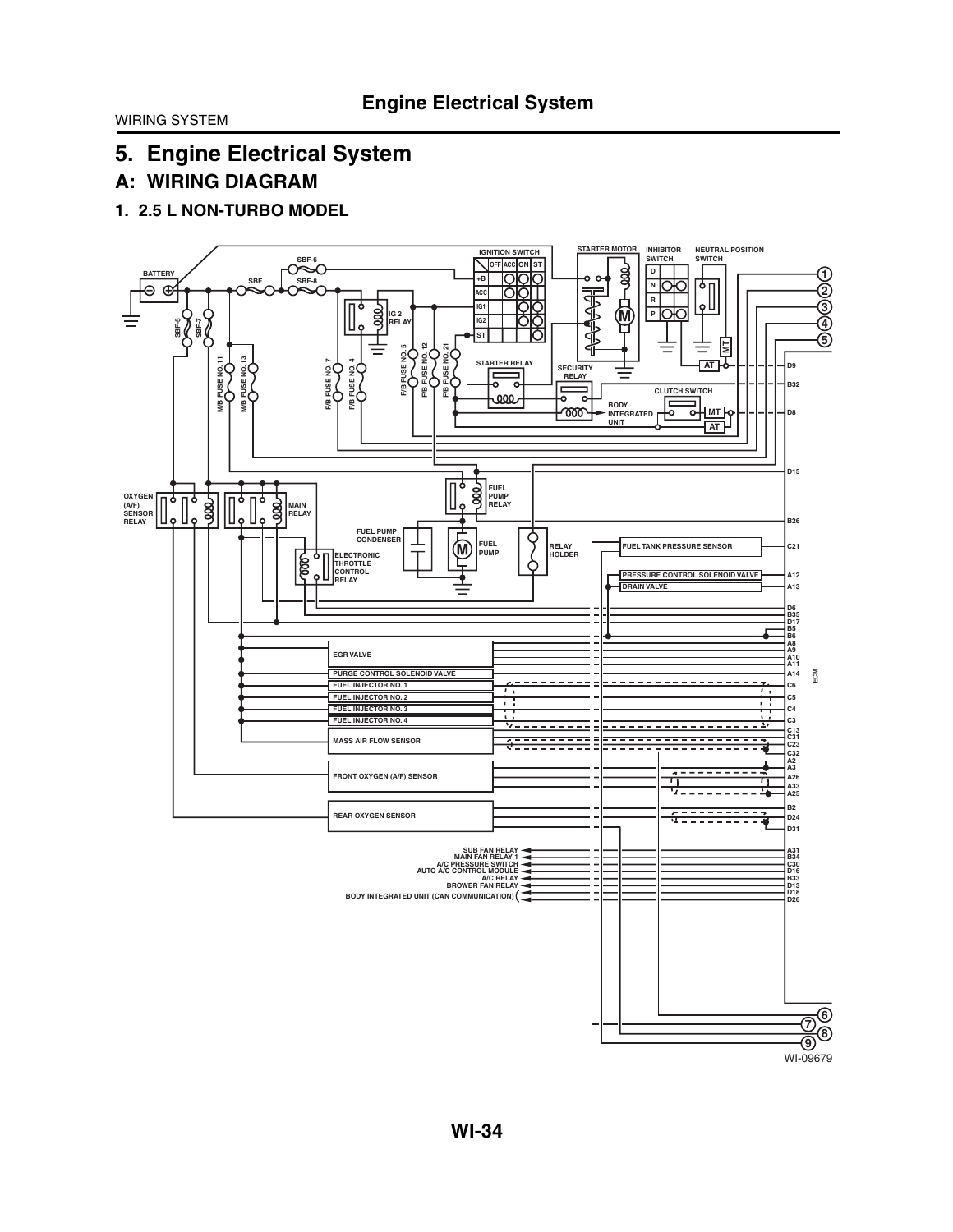# **A: WIRING DIAGRAM**

**1. 2.5 L NON-TURBO MODEL**

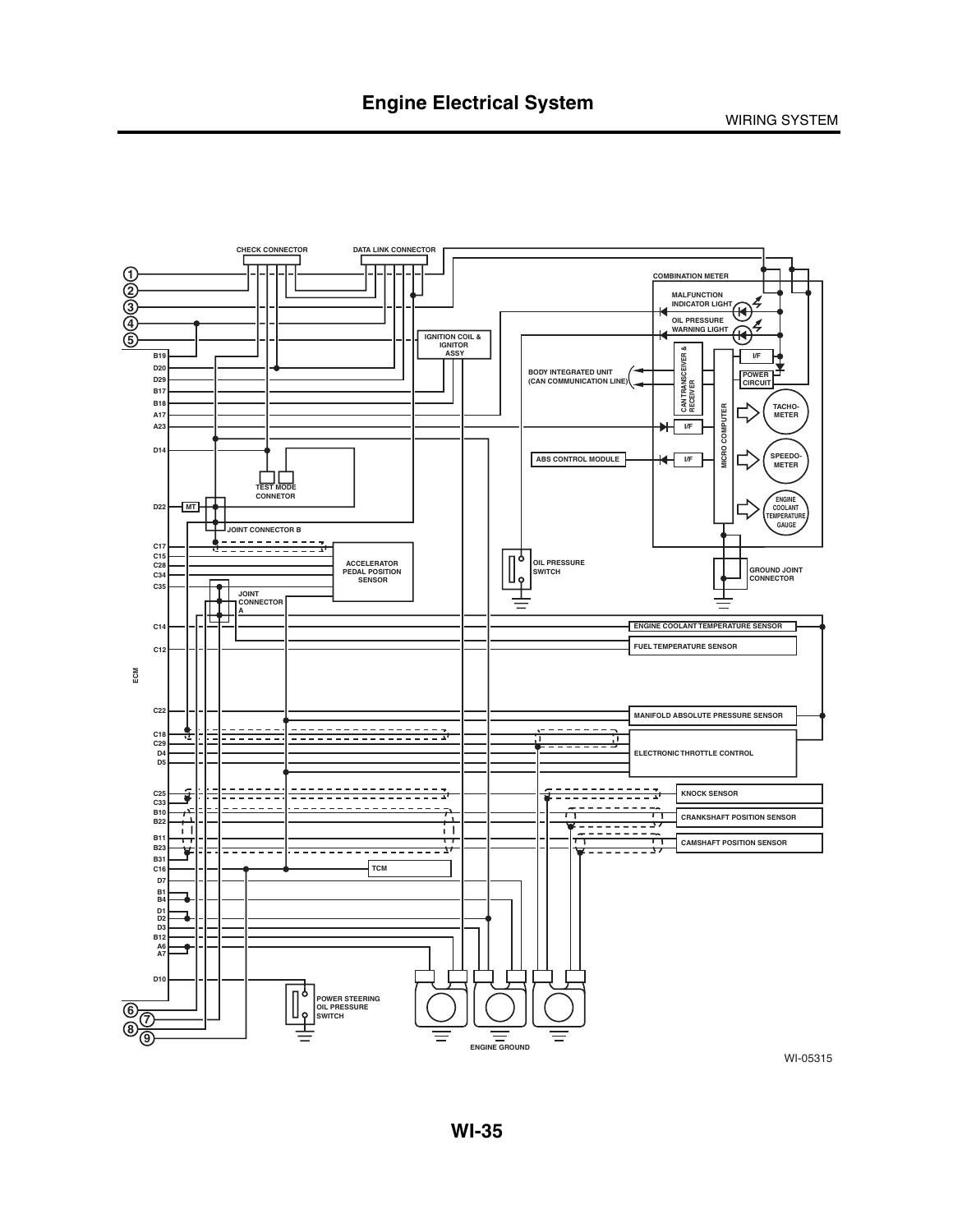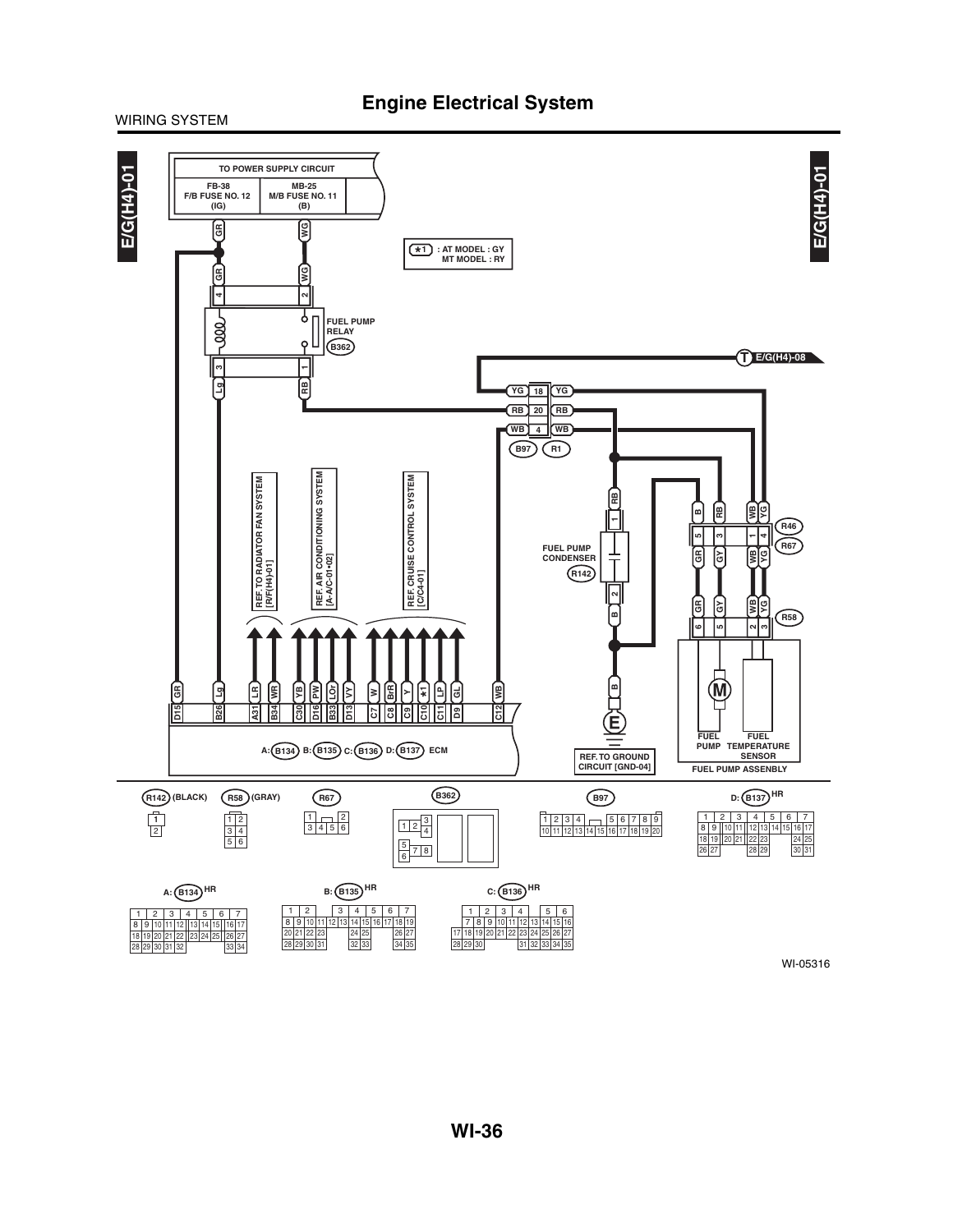### **Engine Electrical System**

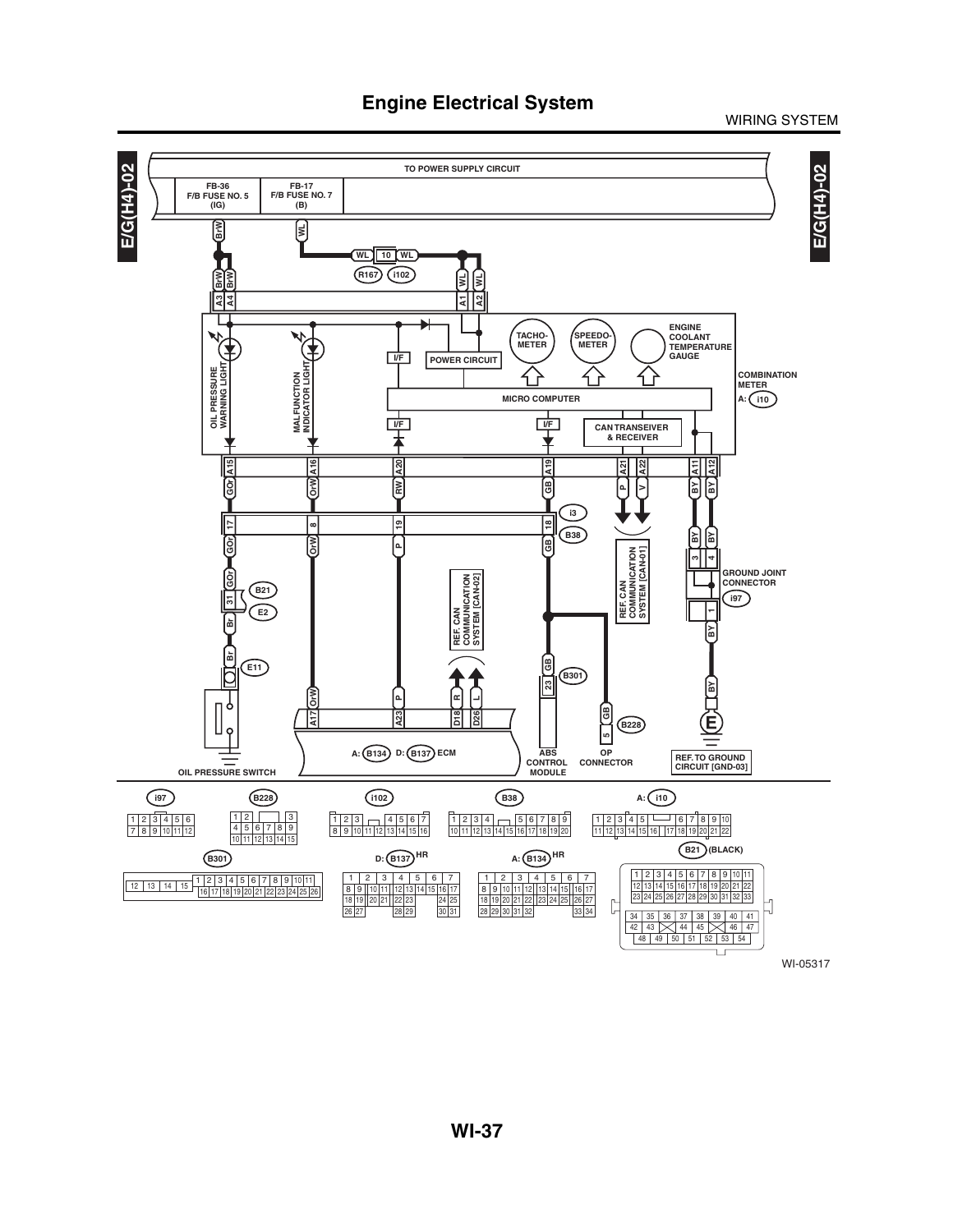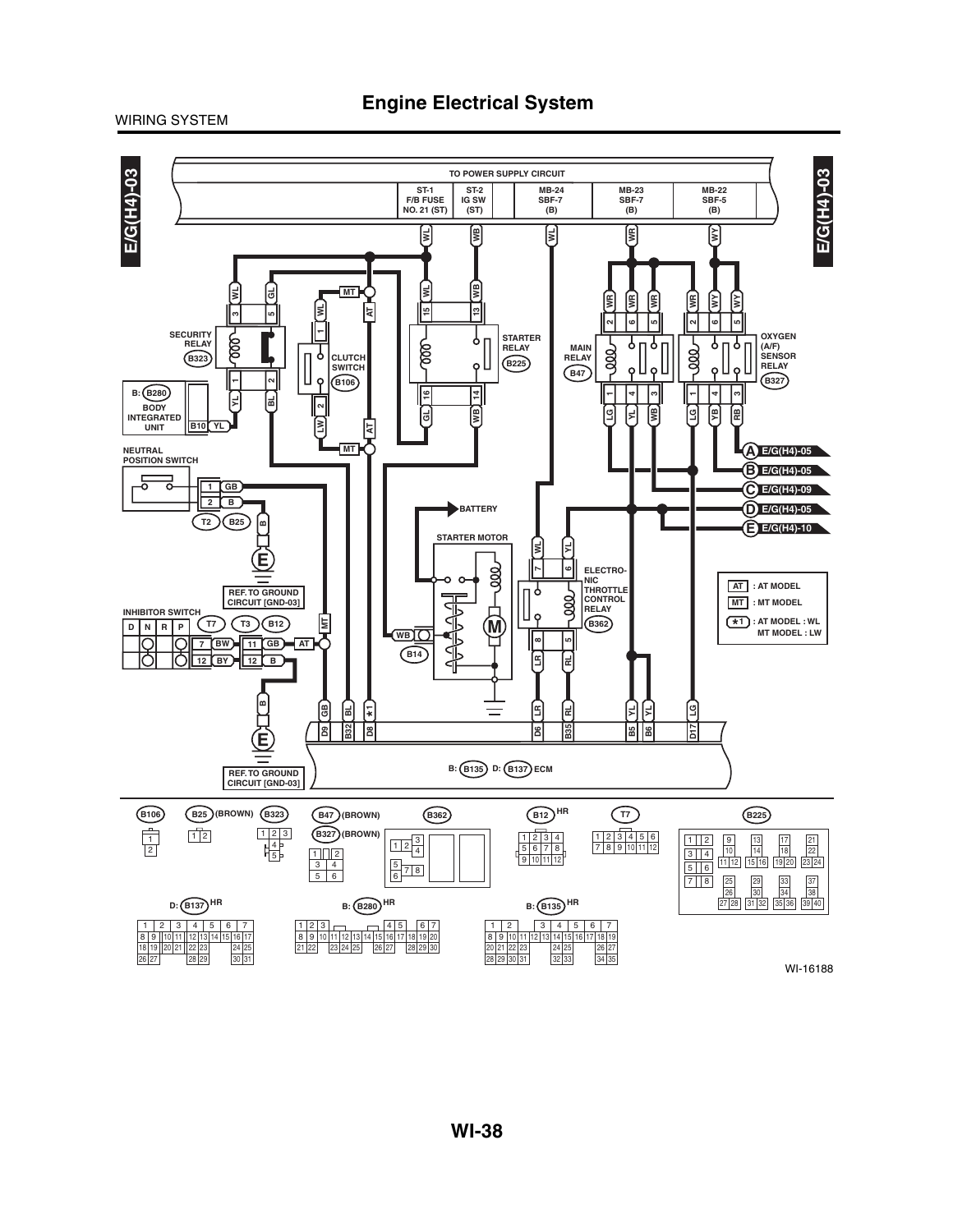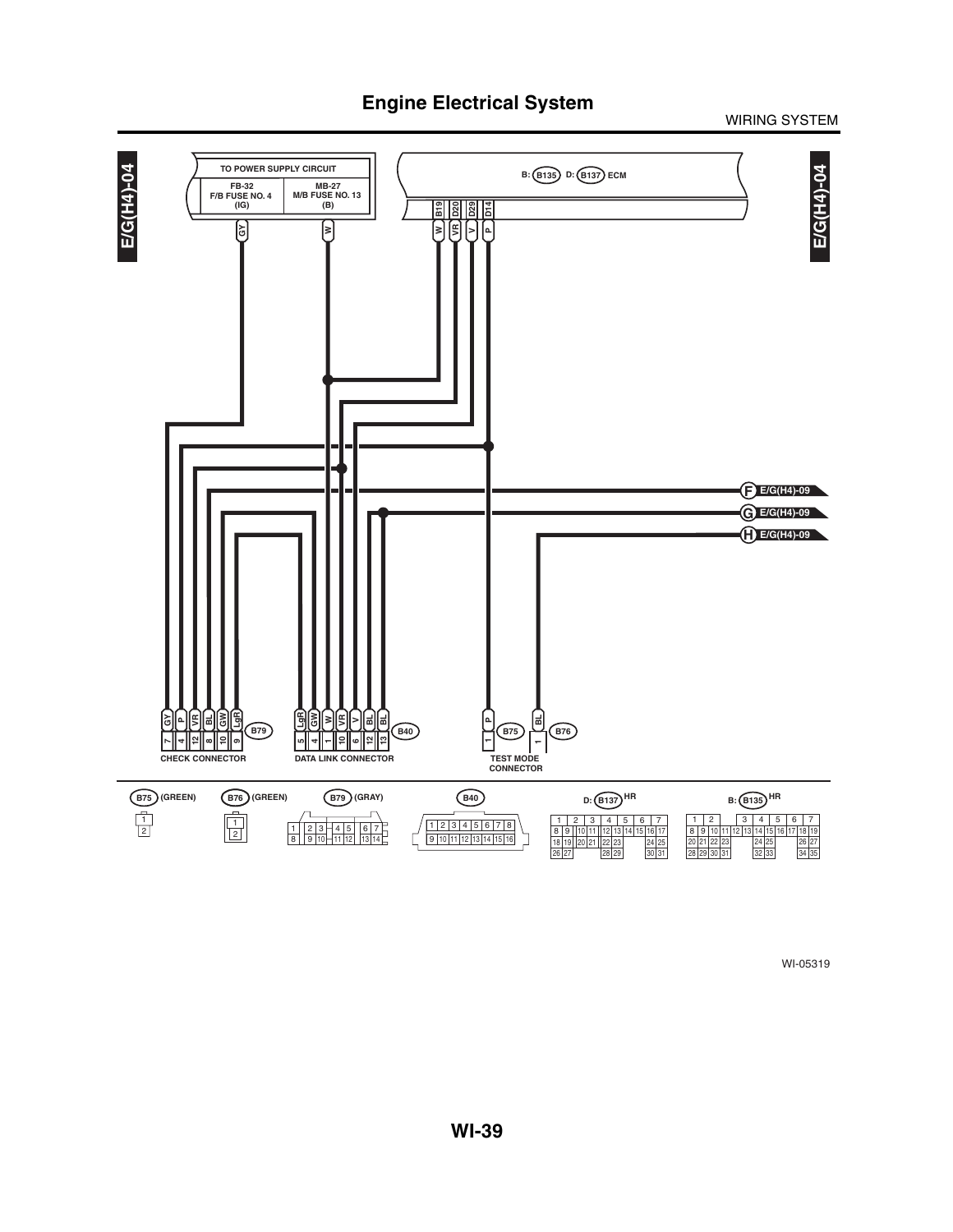### WIRING SYSTEM

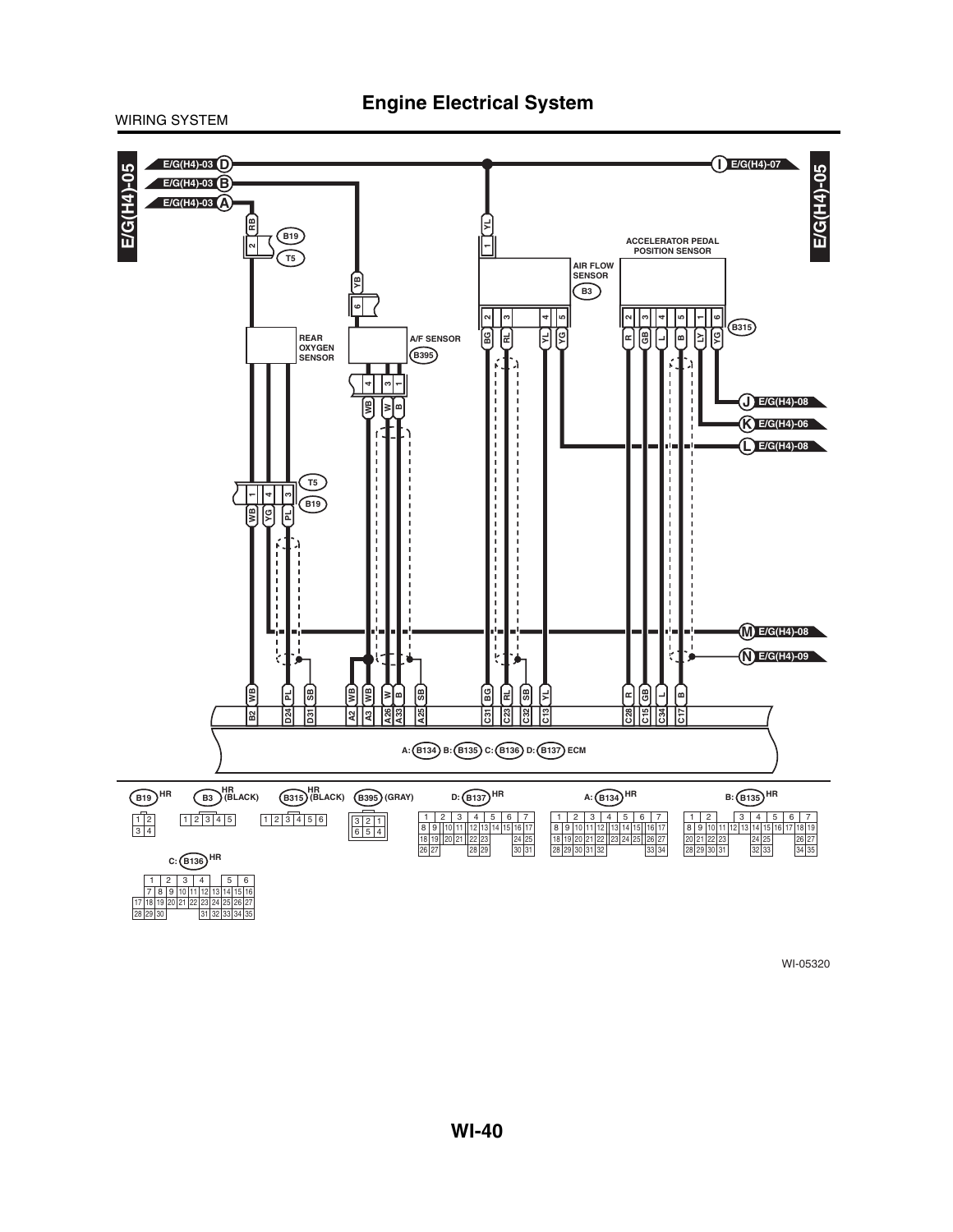

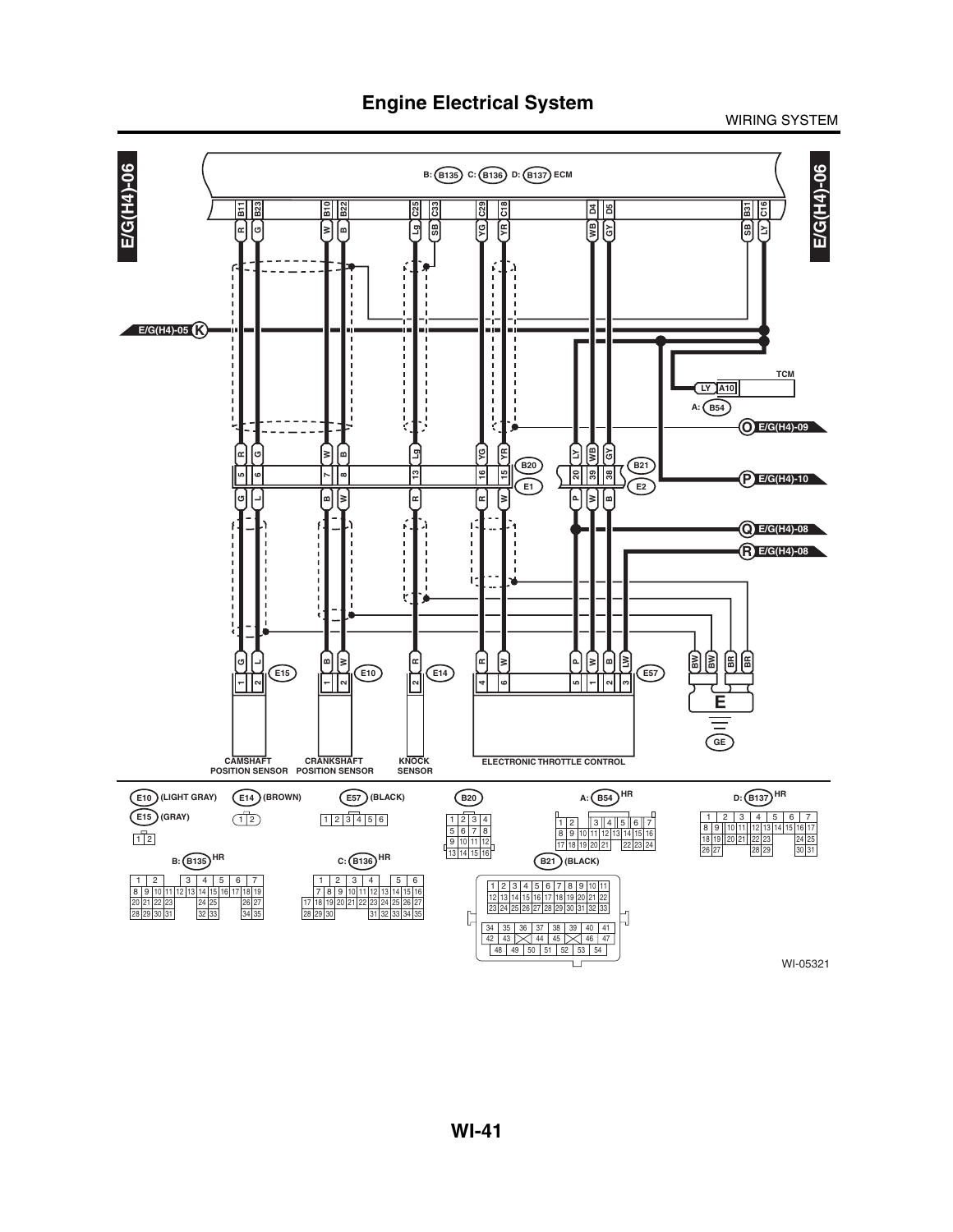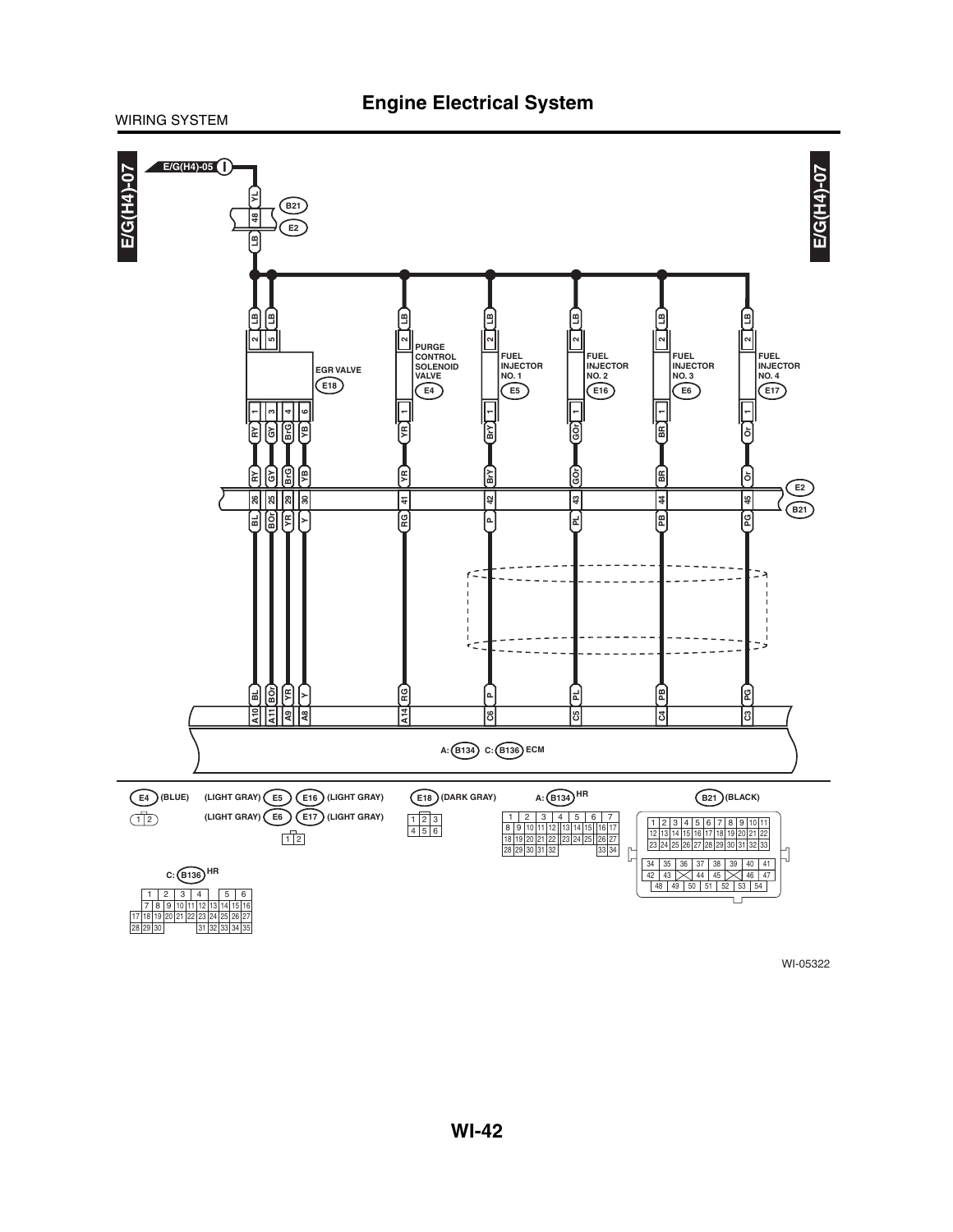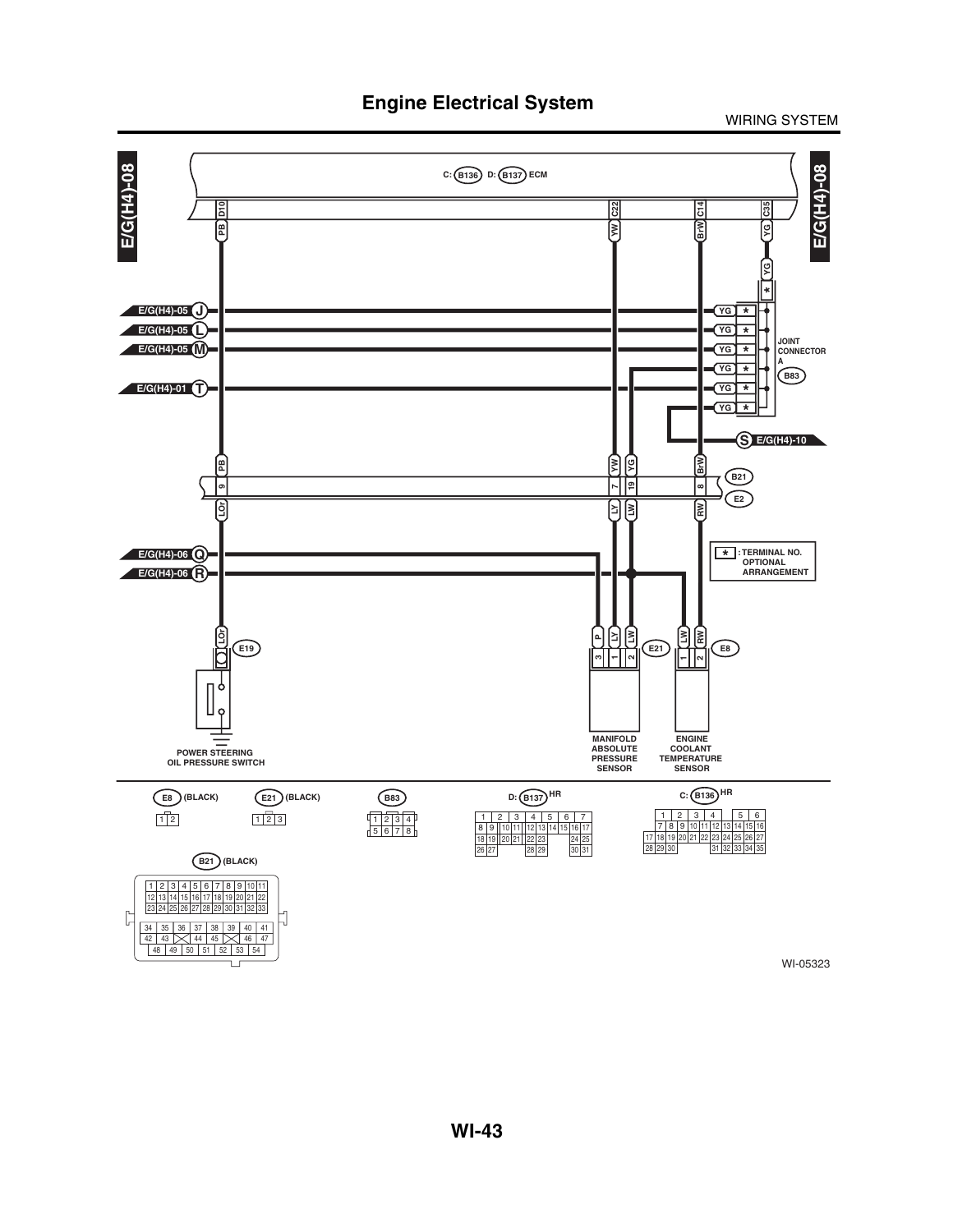WIRING SYSTEM



WI-05323

L.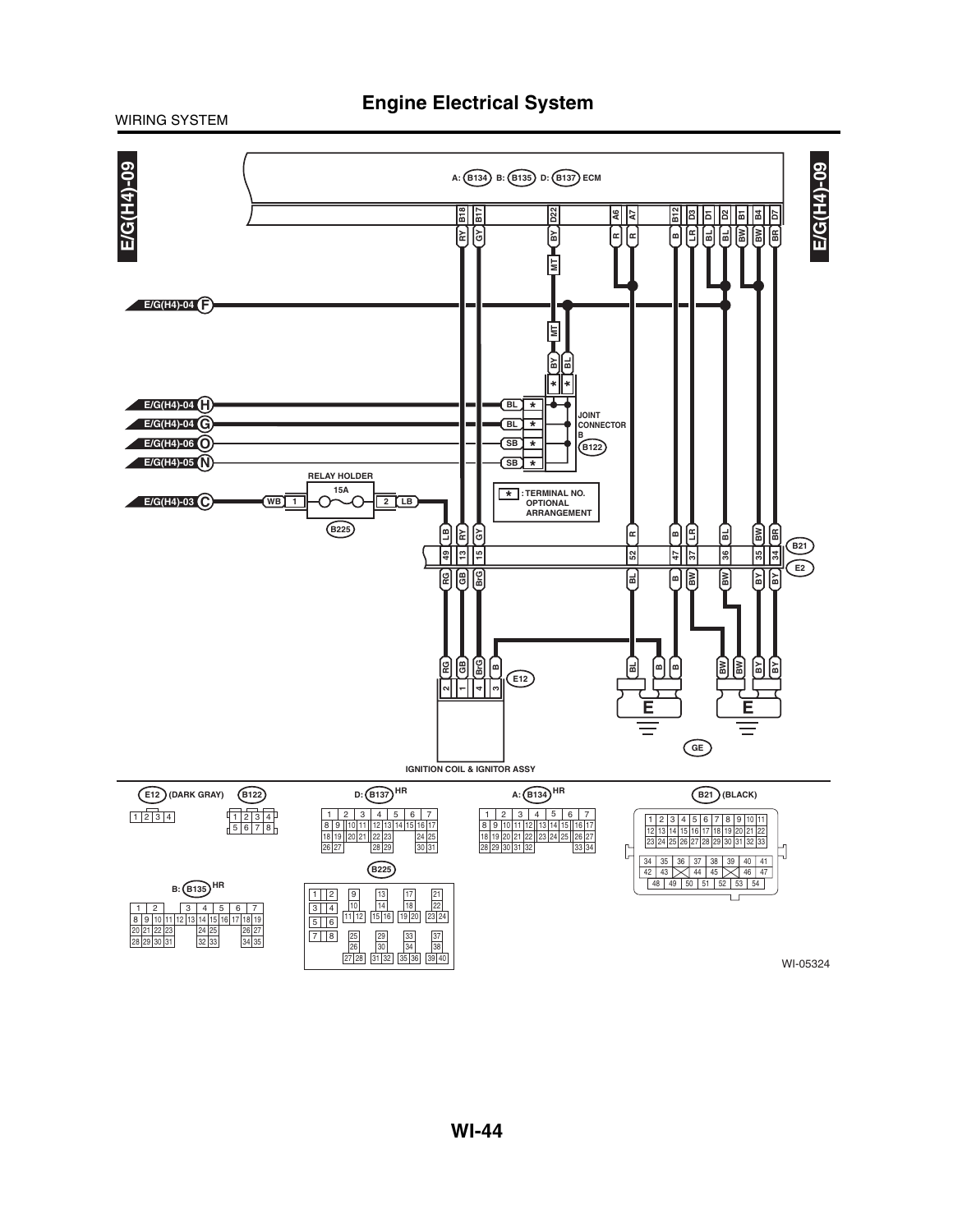

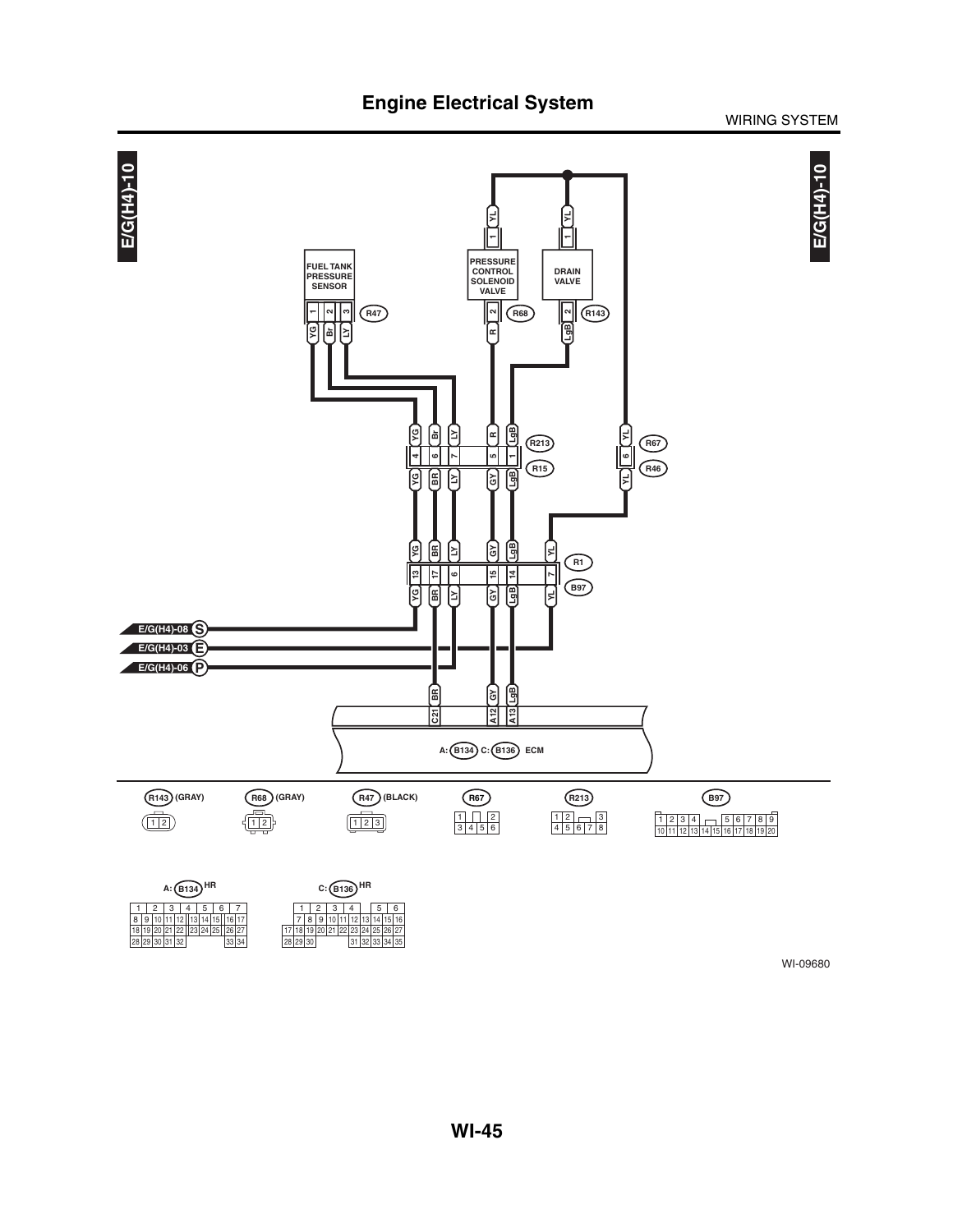

### WIRING SYSTEM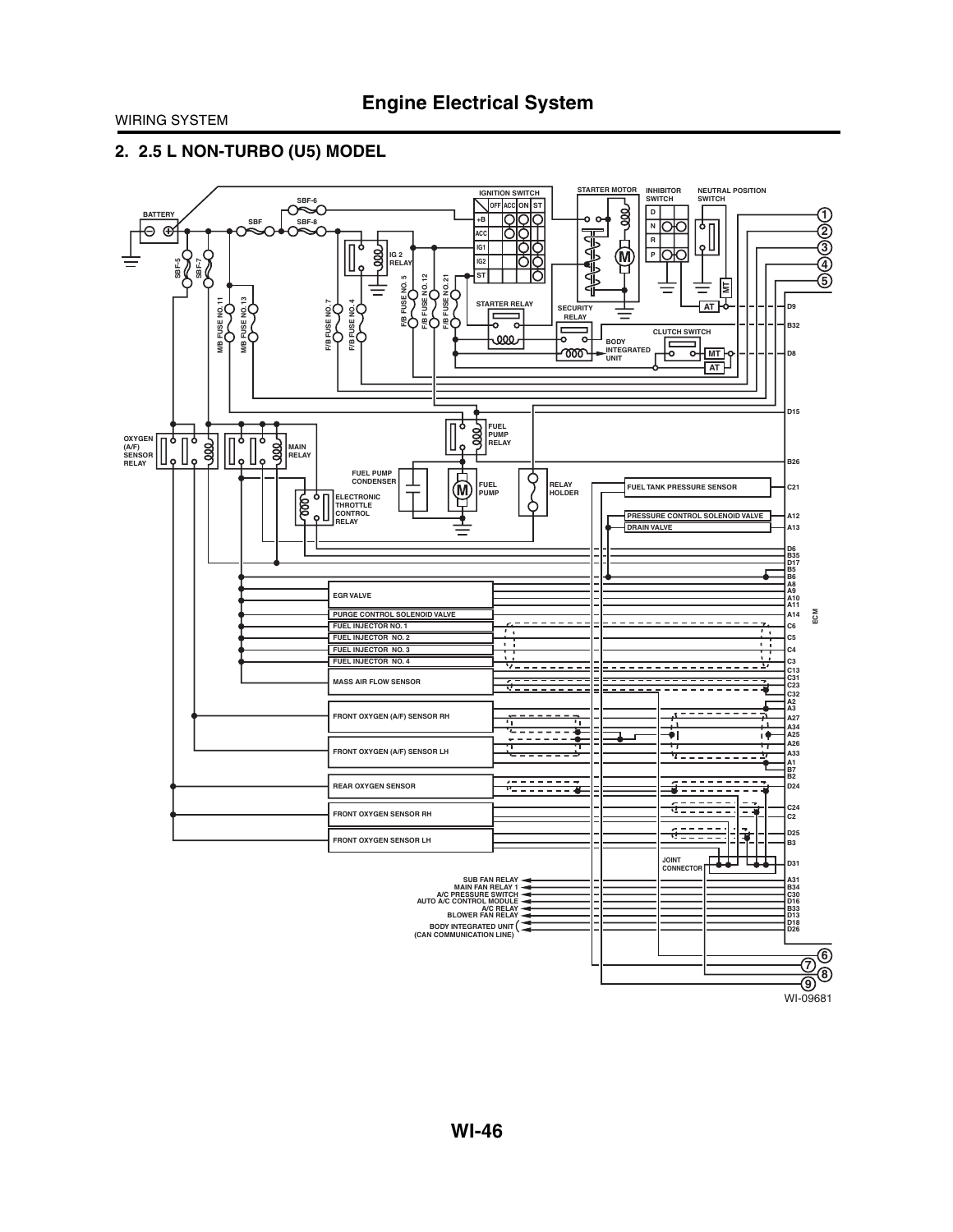### **2. 2.5 L NON-TURBO (U5) MODEL**

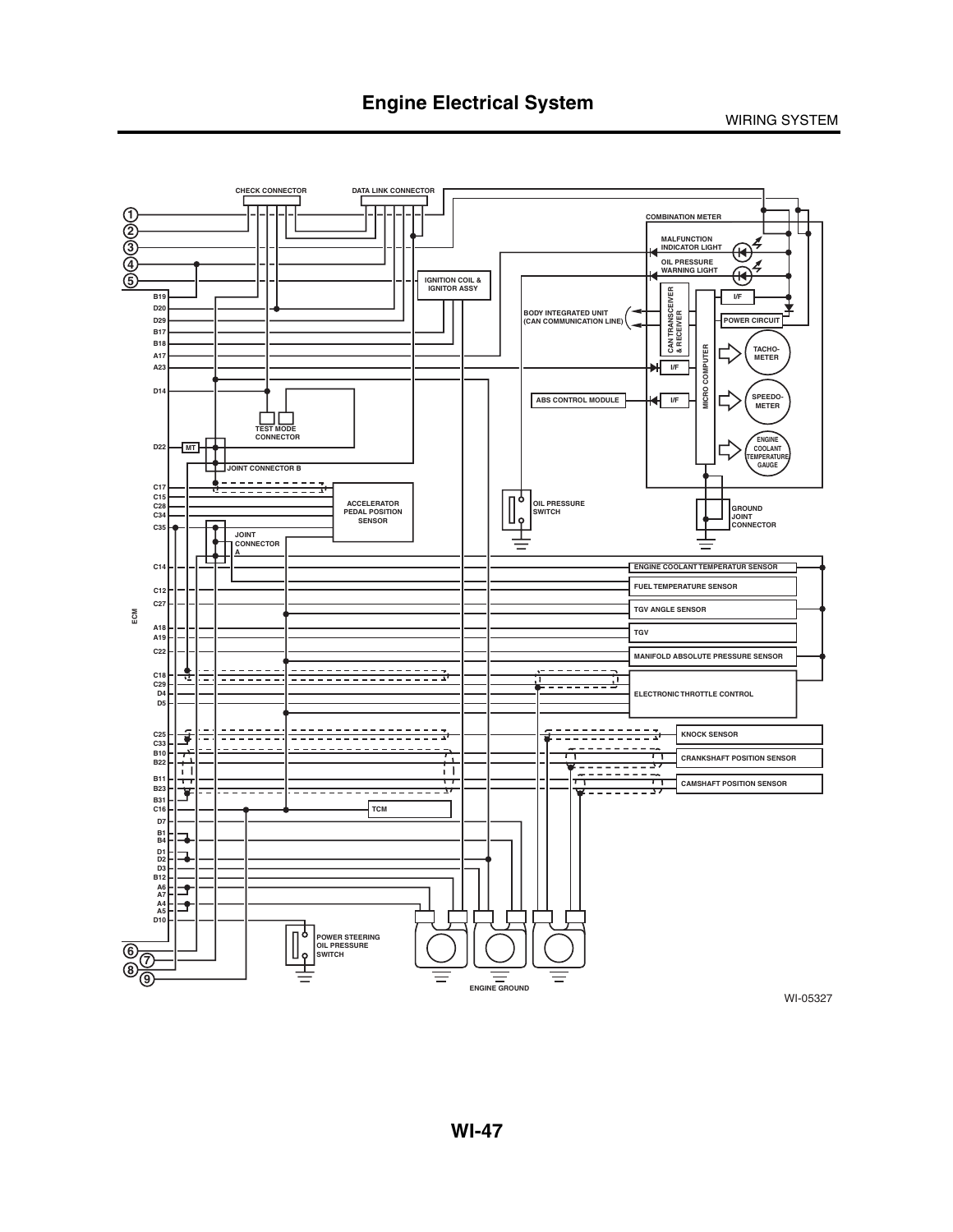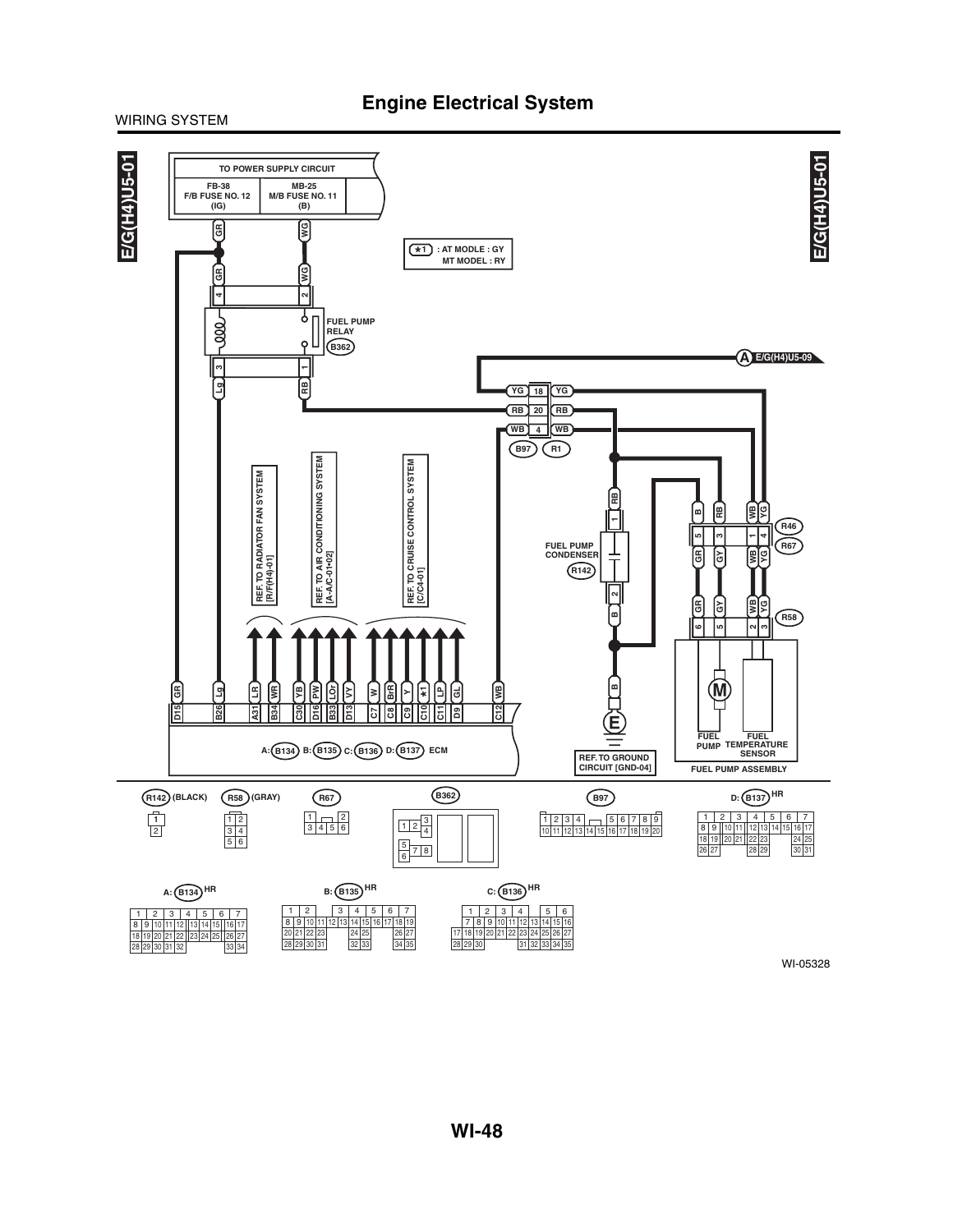### **Engine Electrical System**

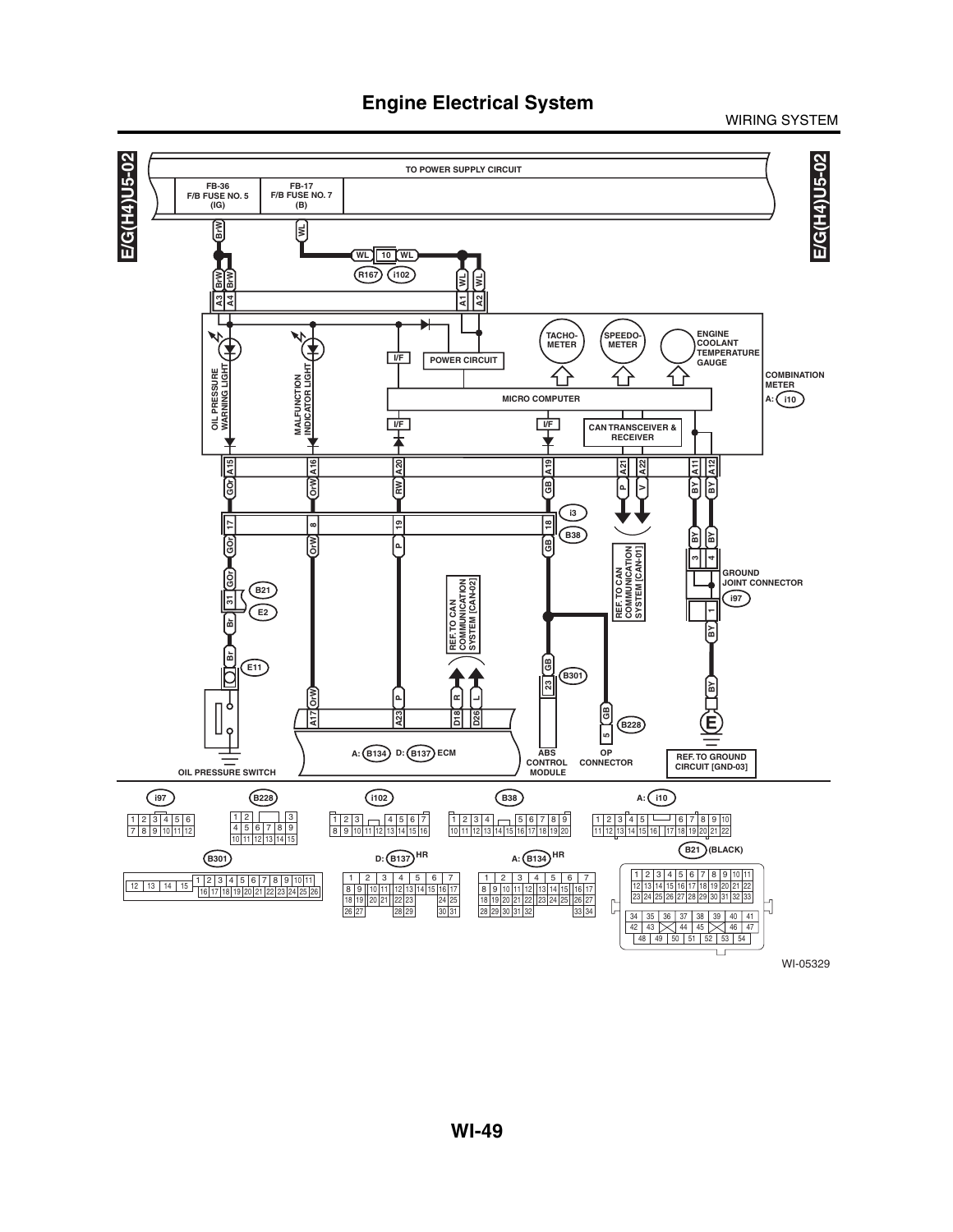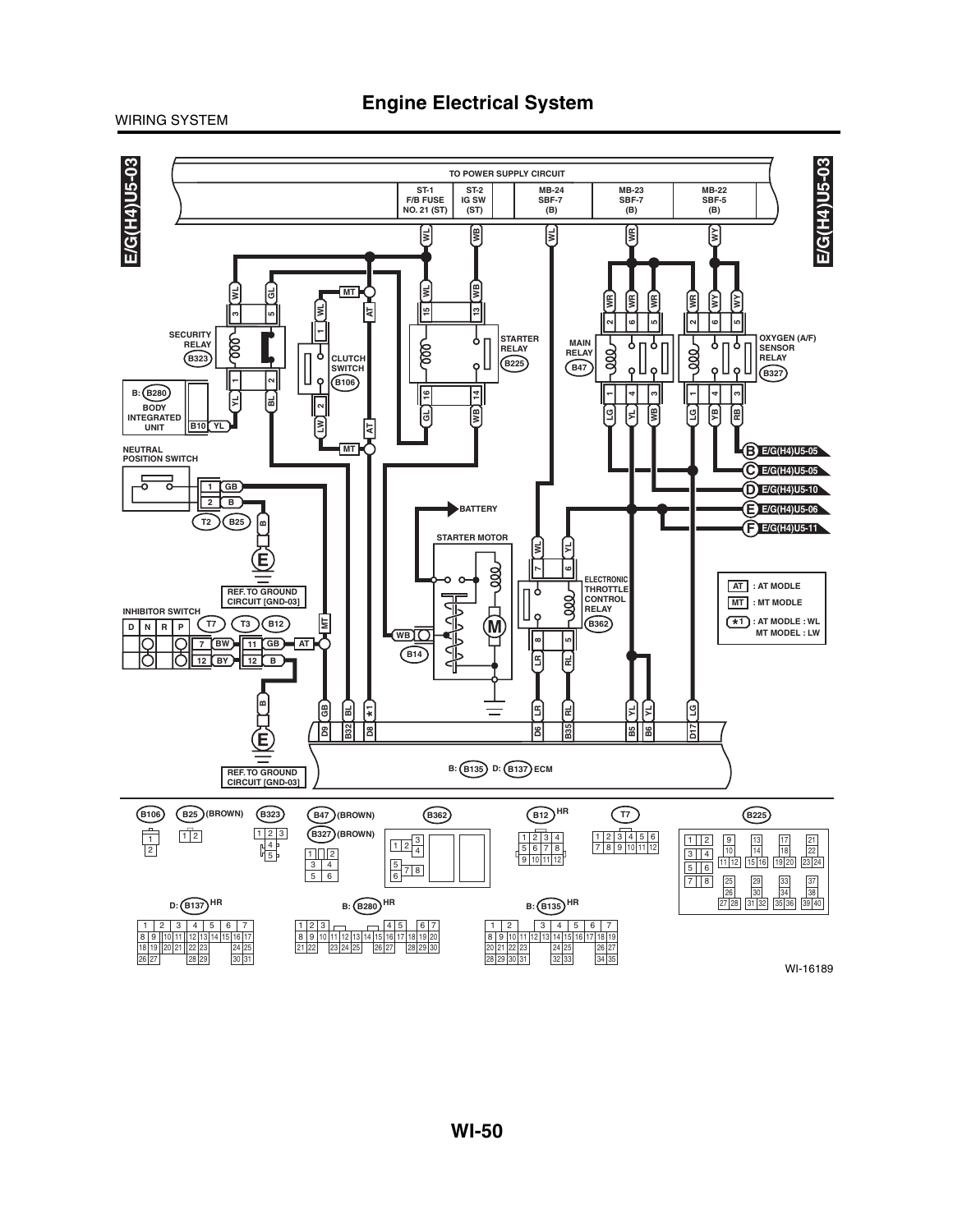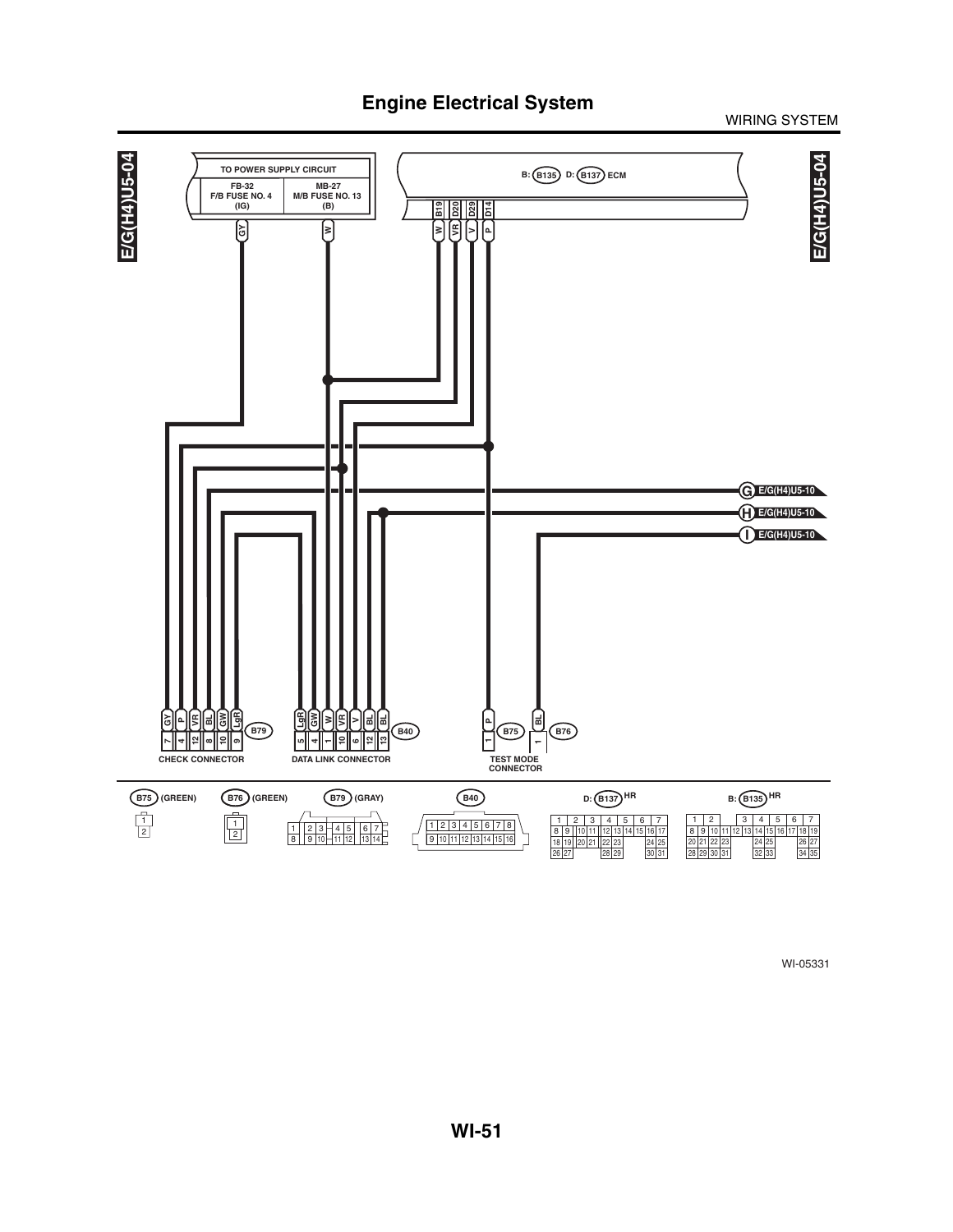### WIRING SYSTEM

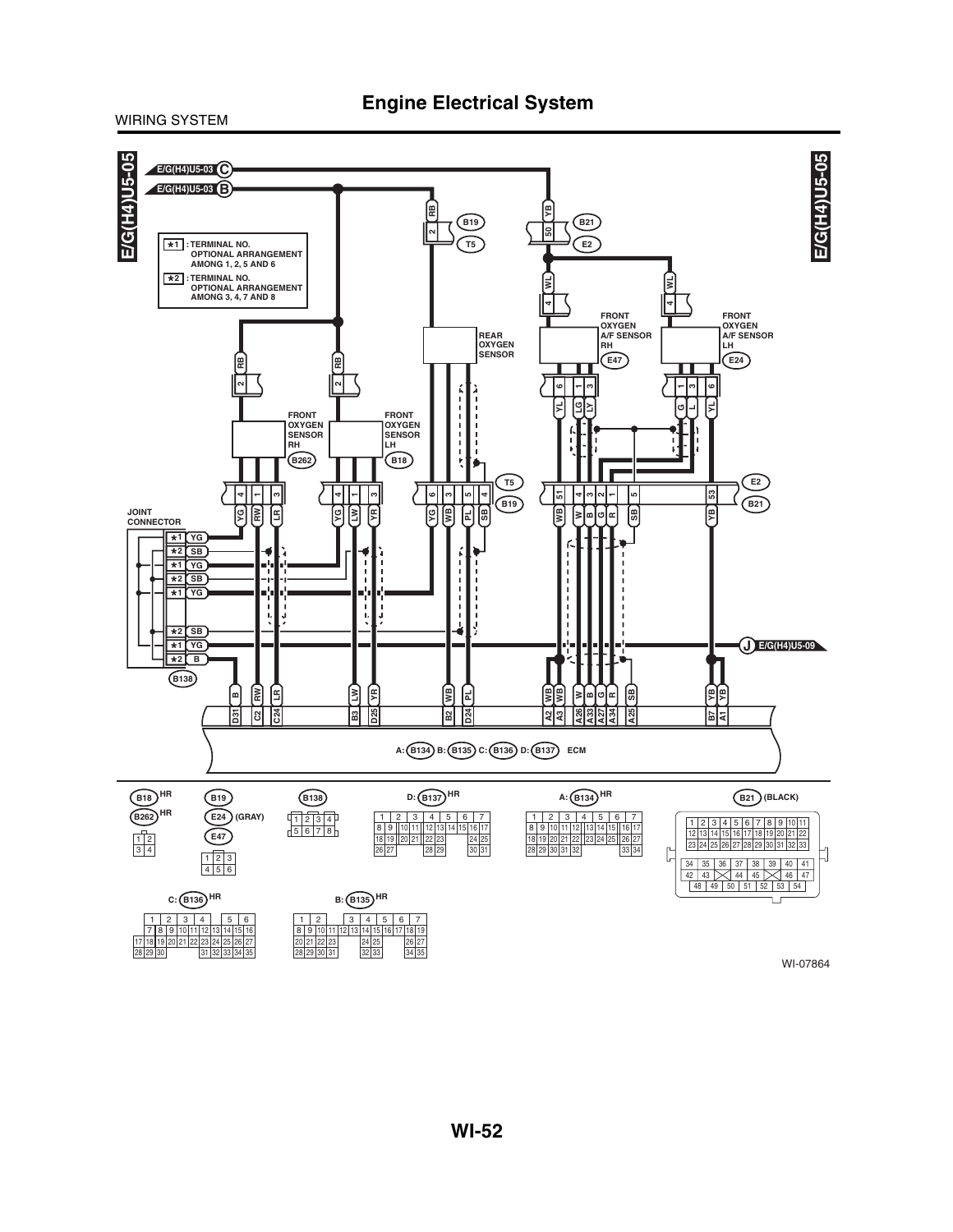### **Engine Electrical System**

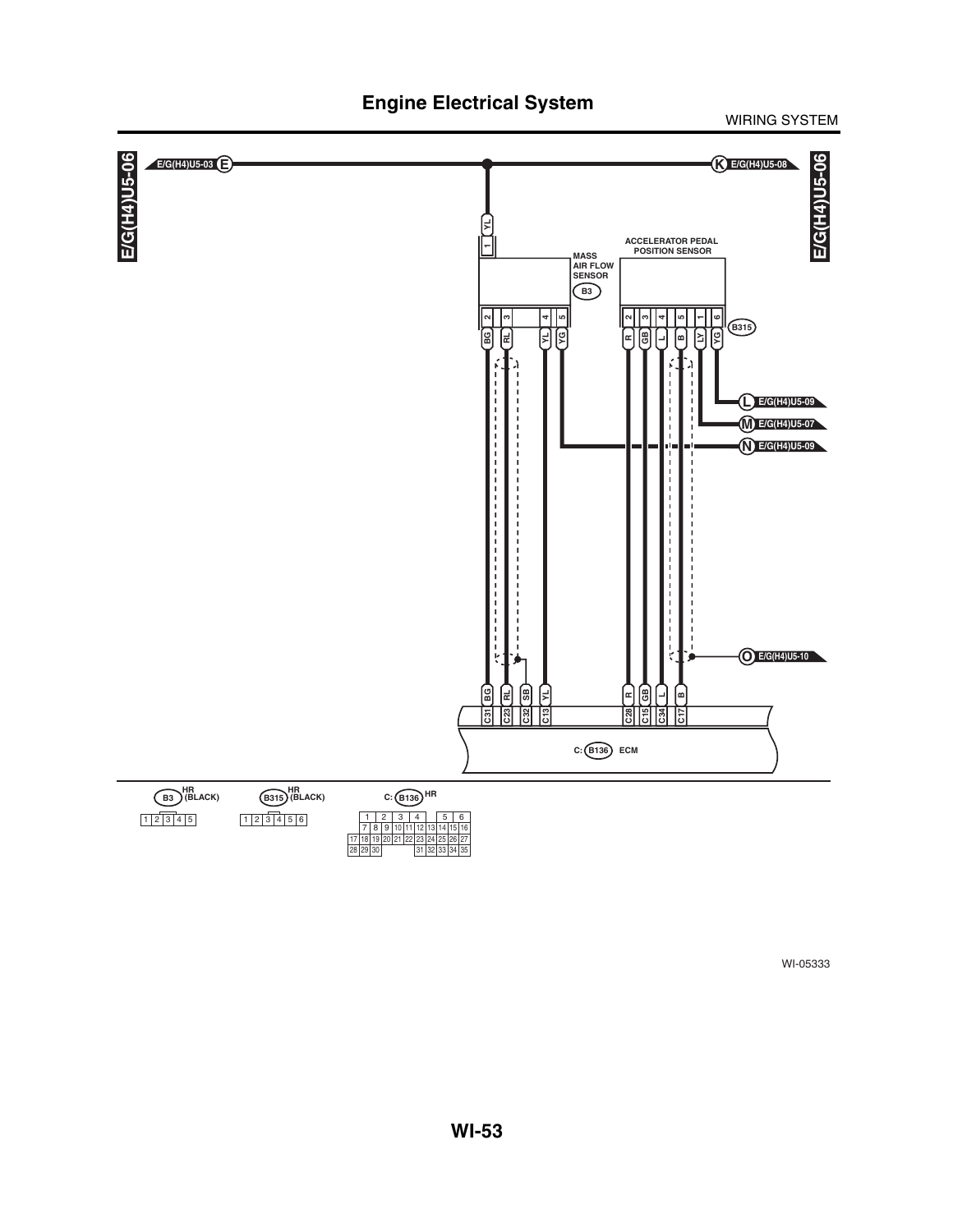#### E/G(H4)U5-06 **E/G(H4)U5-03 E** E/G(H4)U5-06 **E/G(H4)U5-06 K E/G(H4)U5-08 E/G(H4)U5-06 YL ACCELERATOR PEDAL POSITION SENSOR MASS AIR FLOW SENSOR B3 GB 3 RL 3 YG 5 YL 4 R 2 L 4 B 5 B315 BG 2**  $\boxed{5}$  $\left[\begin{smallmatrix}\varphi\cr\vphantom{\Vert}\varphi\cr\vphantom{\Vert}\varphi\cr\end{smallmatrix}\right]$ <u>ر</u> **L E/G(H4)U5-09 M E/G(H4)U5-07 N E/G(H4)U5-09** the control<br>The control<br>The control ł **O E/G(H4)U5-10 SB RL**  $\mathbb{R}$ **BG GB L**  $\mathbf{r}$ **B R S1515 C31** ឌីl |ឌី **C: B136 ECM** B3<sup>HR</sup><br>B3<sup>HR</sup> **B315 (BLACK) (BLACK) HR HR HRC: B136**  $1 \ 2 \ 3 \ 4 \ 5$ 1 2 3 4 5 6  $2 \mid 3 \mid 4 \mid$ 7 | 8 | 9 |10 |11 |12 |13 |14 |15 |16 17 | 18 | 19 | 20<br>28 | 29 | 30 | 24 25 21 22 23 26 27 29 31 32 33 34 35

# **Engine Electrical System**

WIRING SYSTEM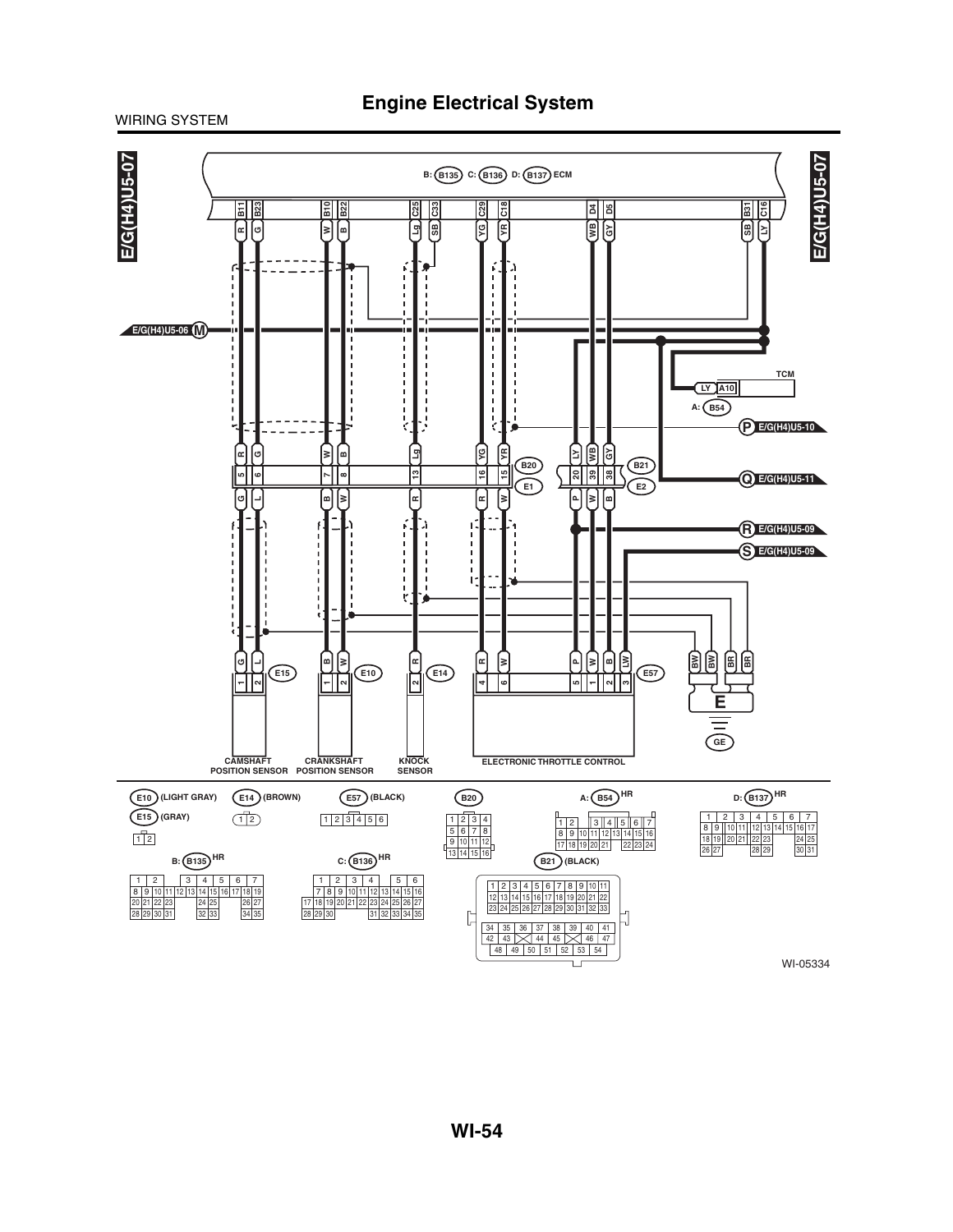### WIRING SYSTEM

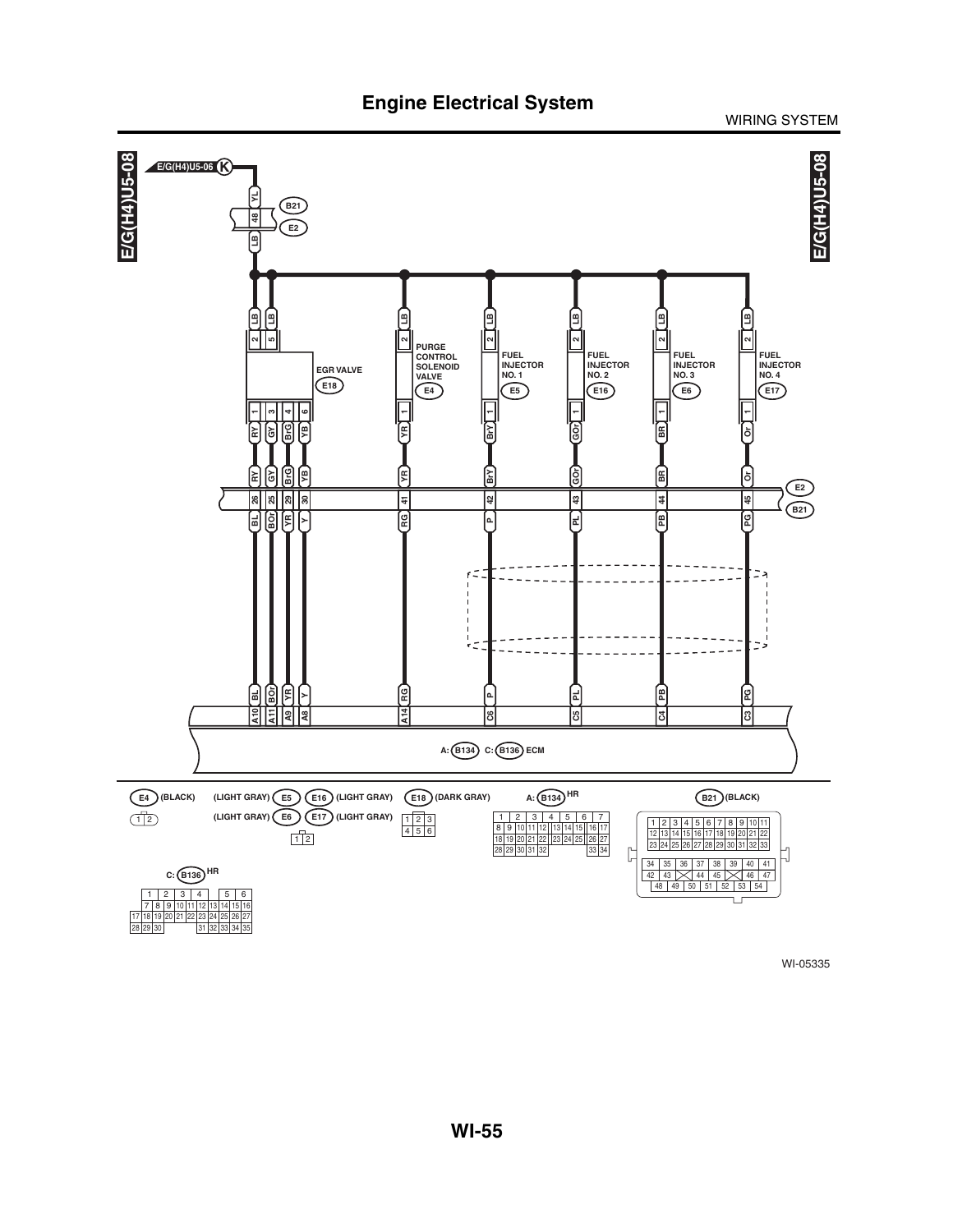**Engine Electrical System**

WIRING SYSTEM

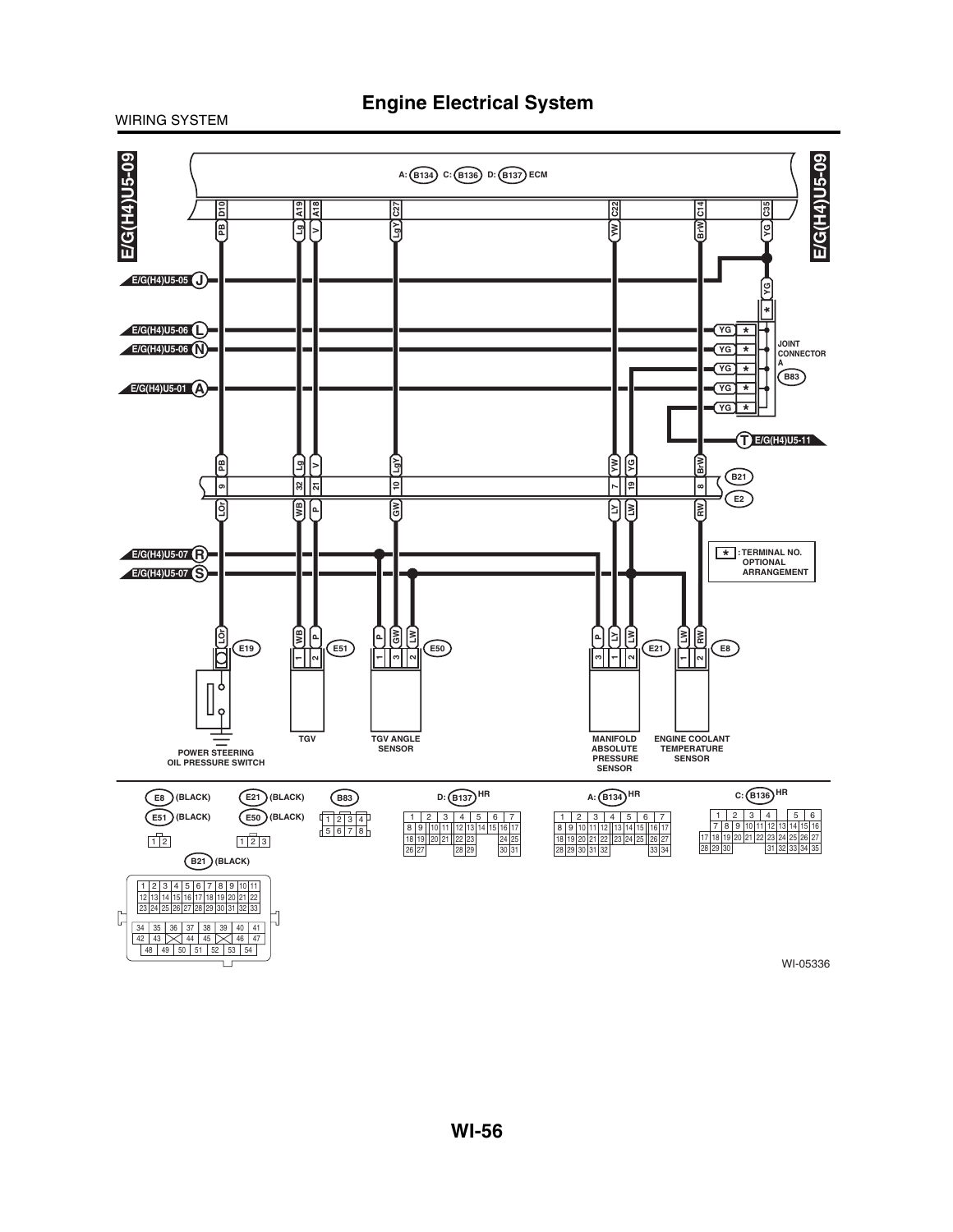

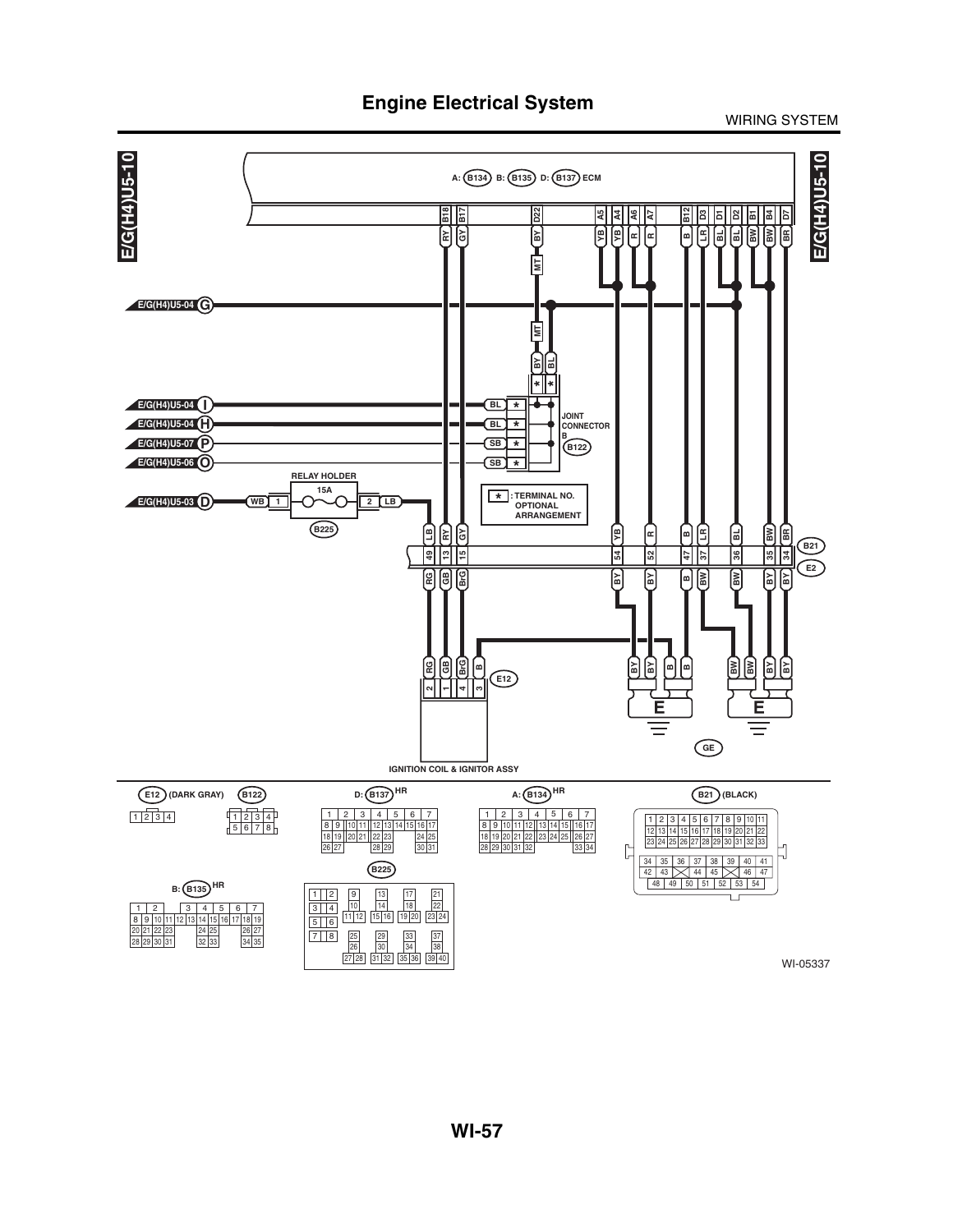**Engine Electrical System**

WIRING SYSTEM

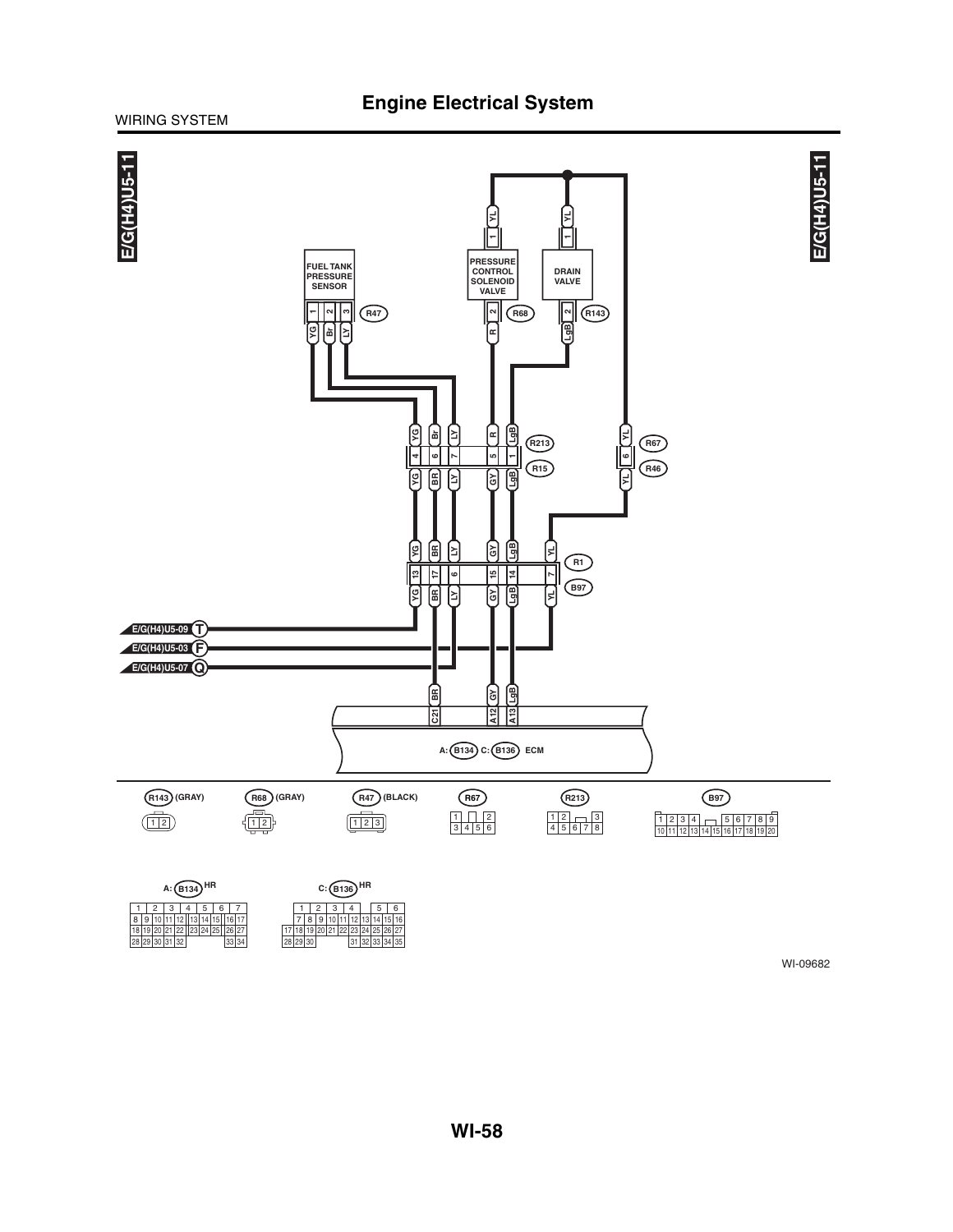### **Engine Electrical System**

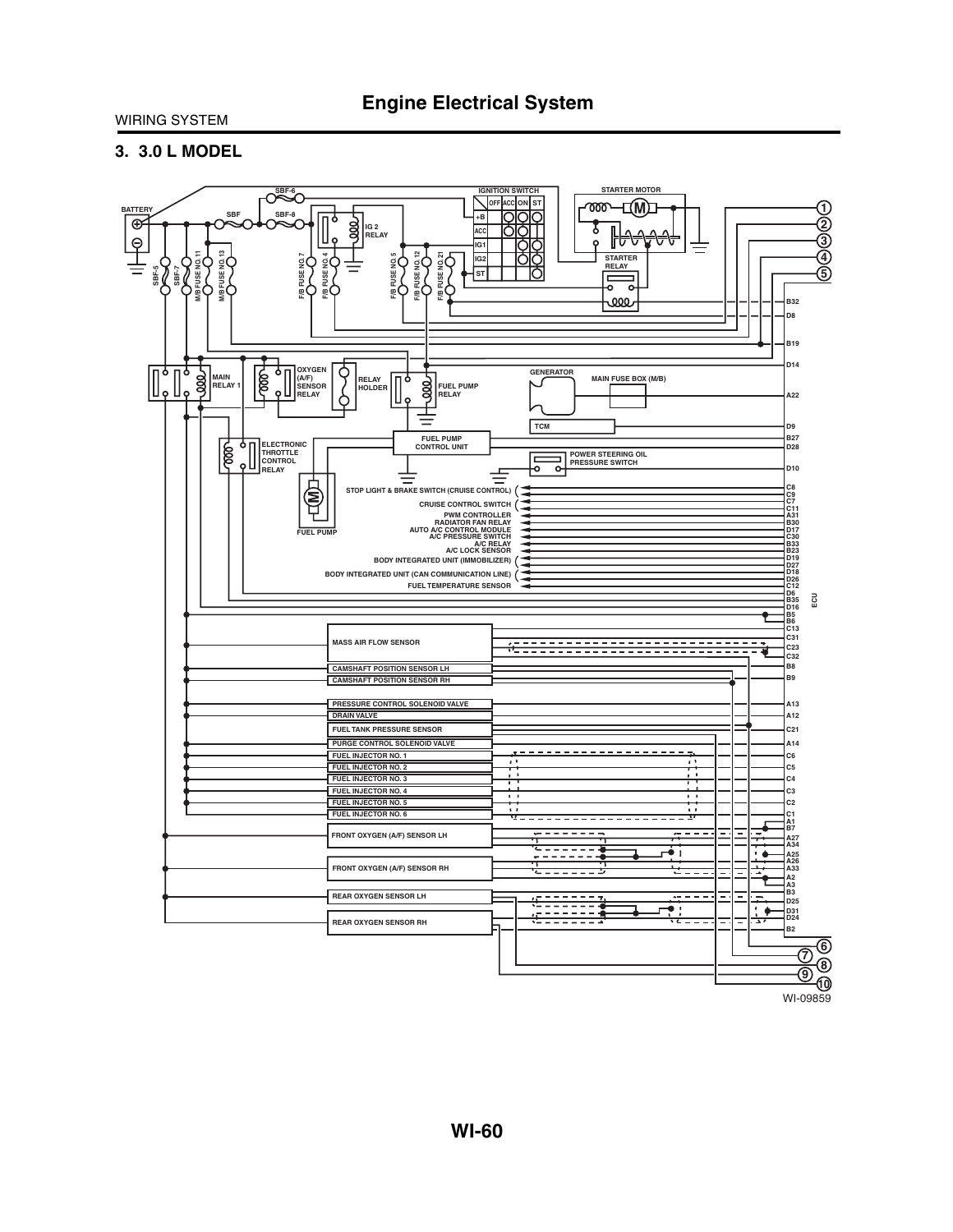### **3. 3.0 L MODEL**

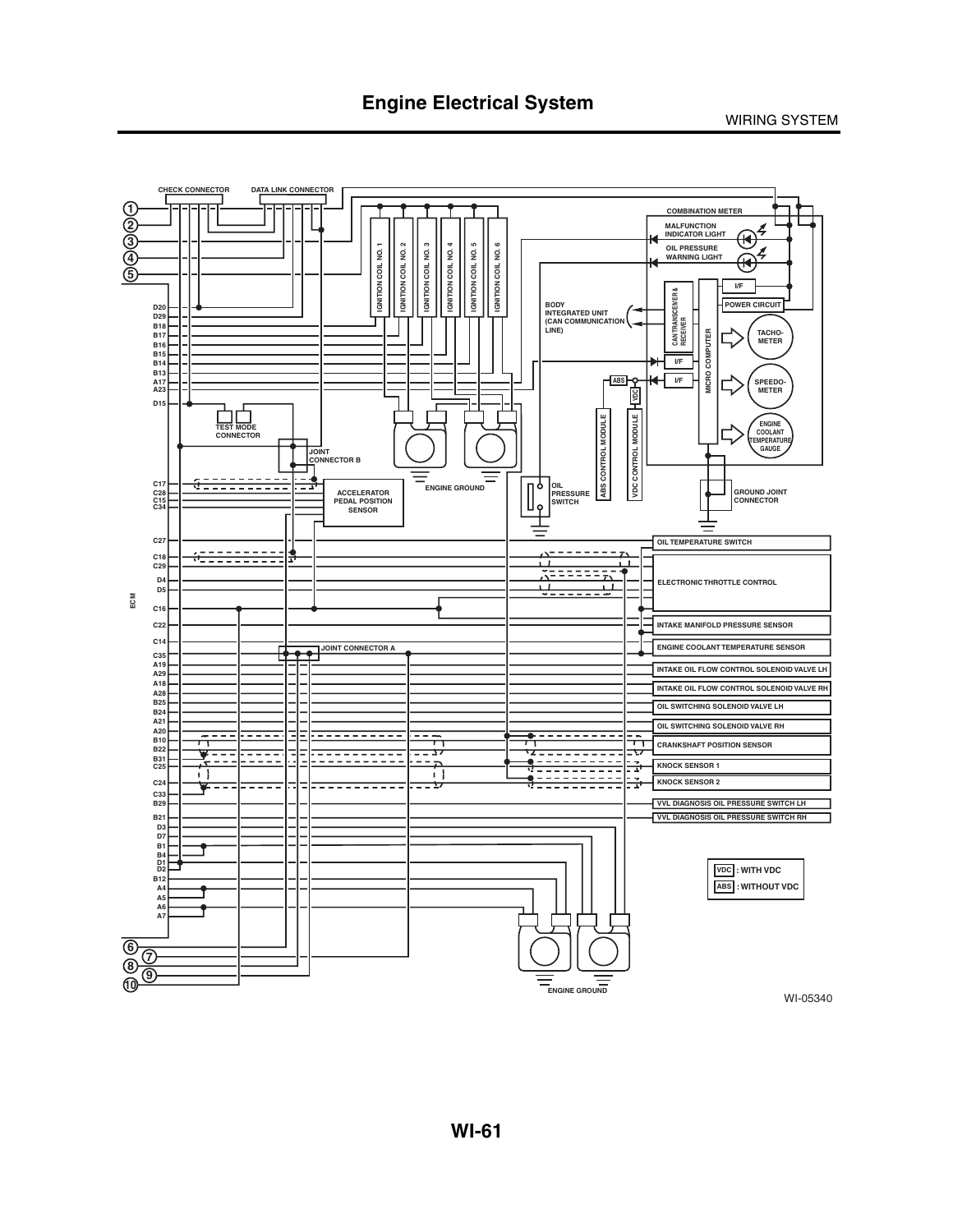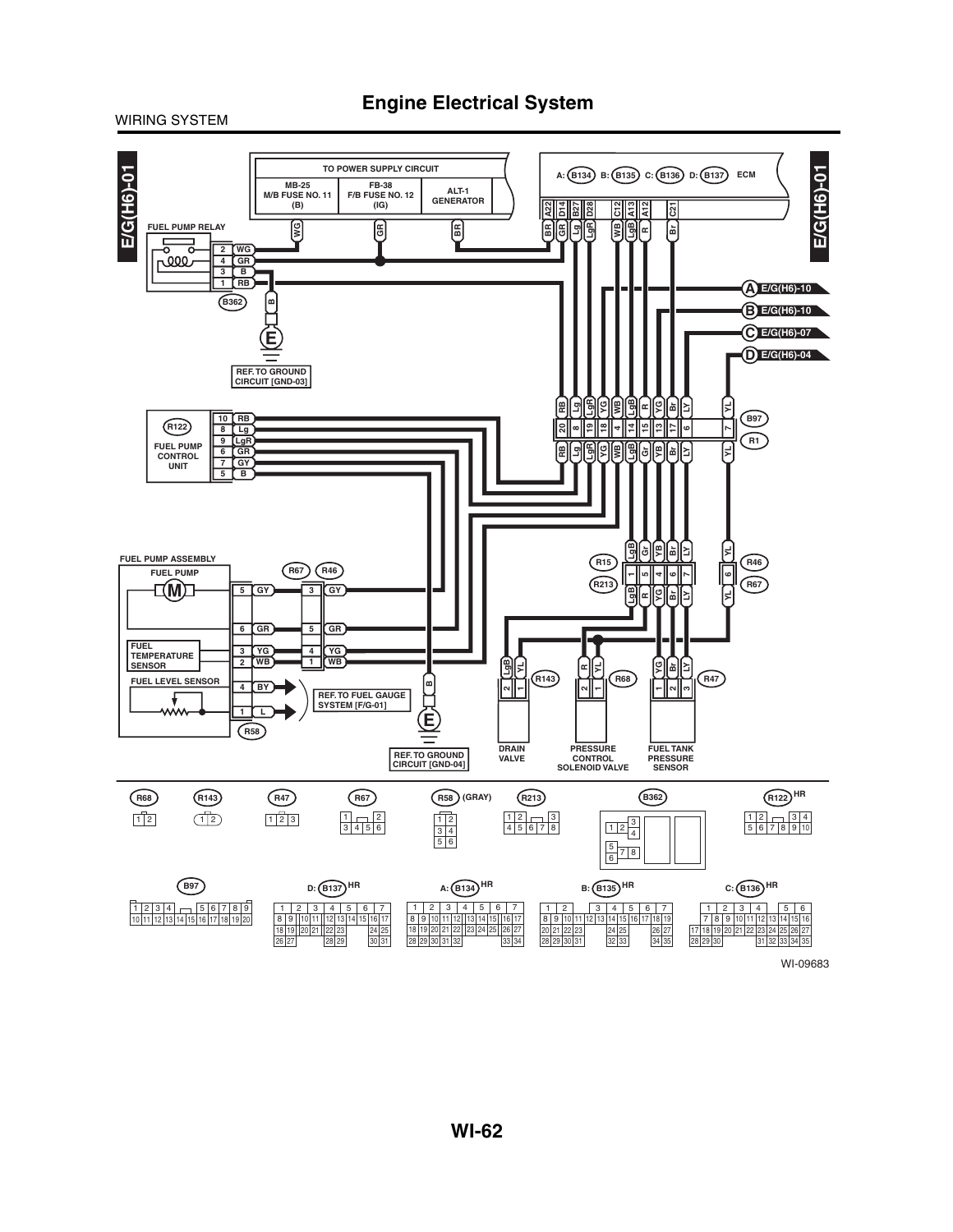**Engine Electrical System**

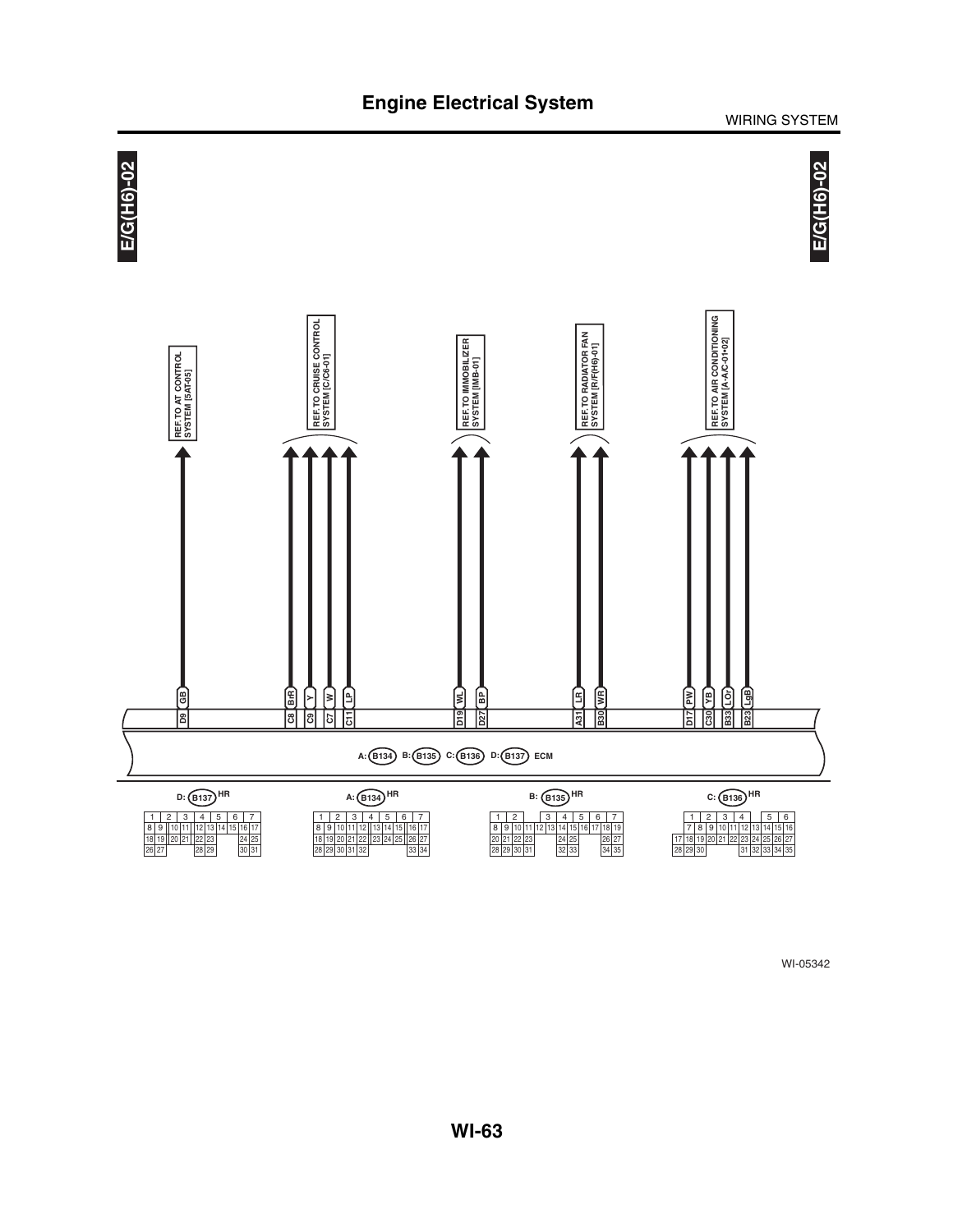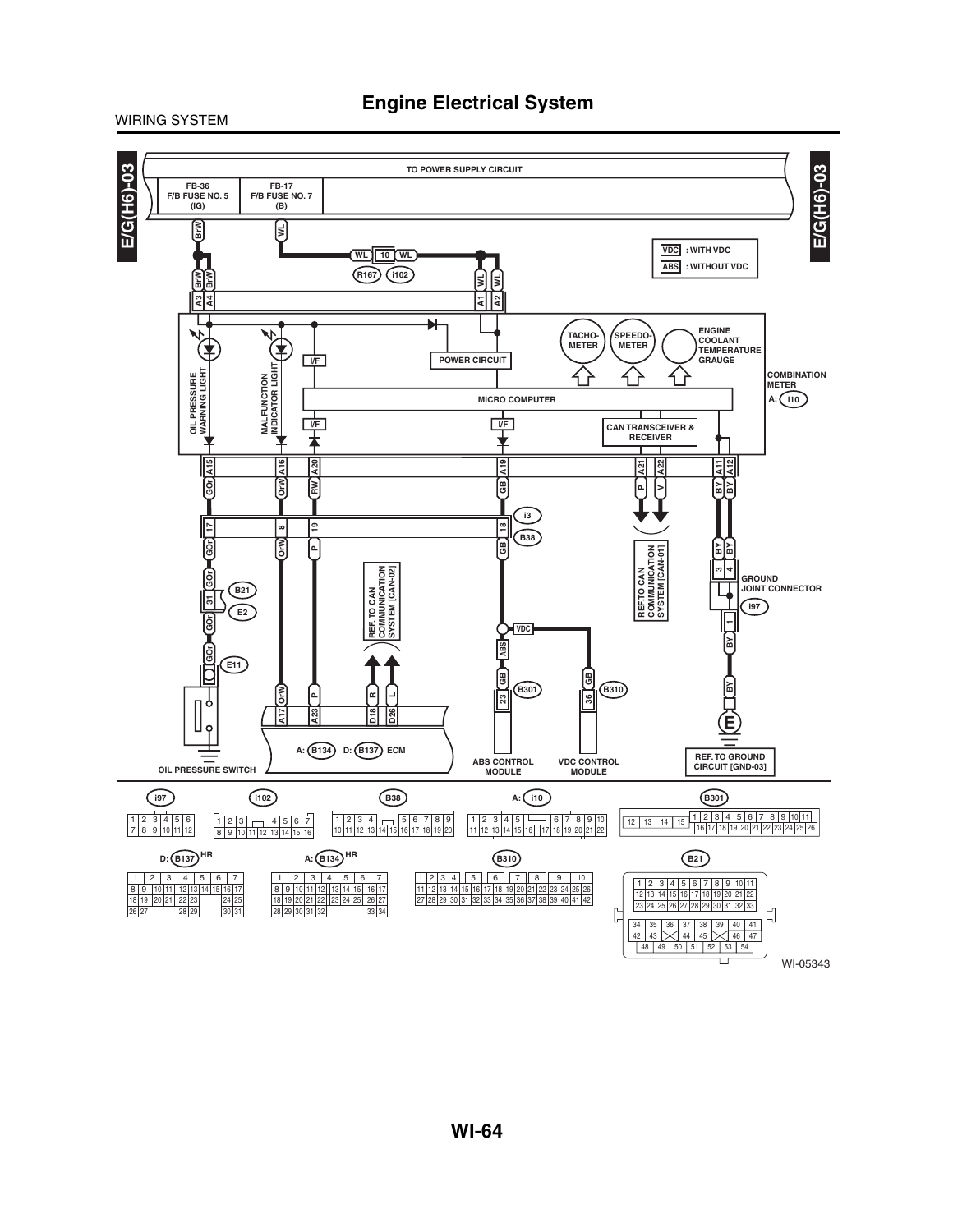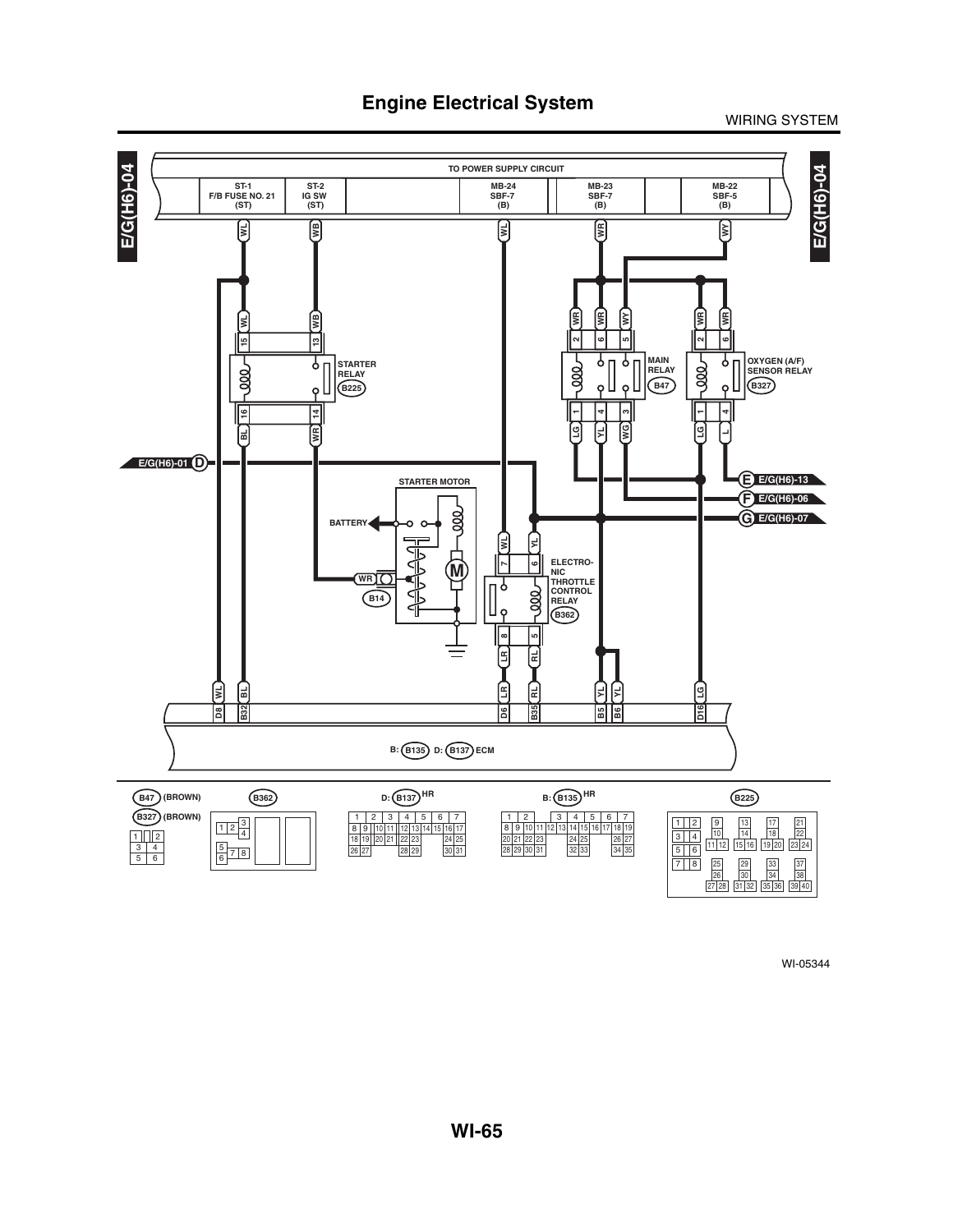![](_page_31_Figure_2.jpeg)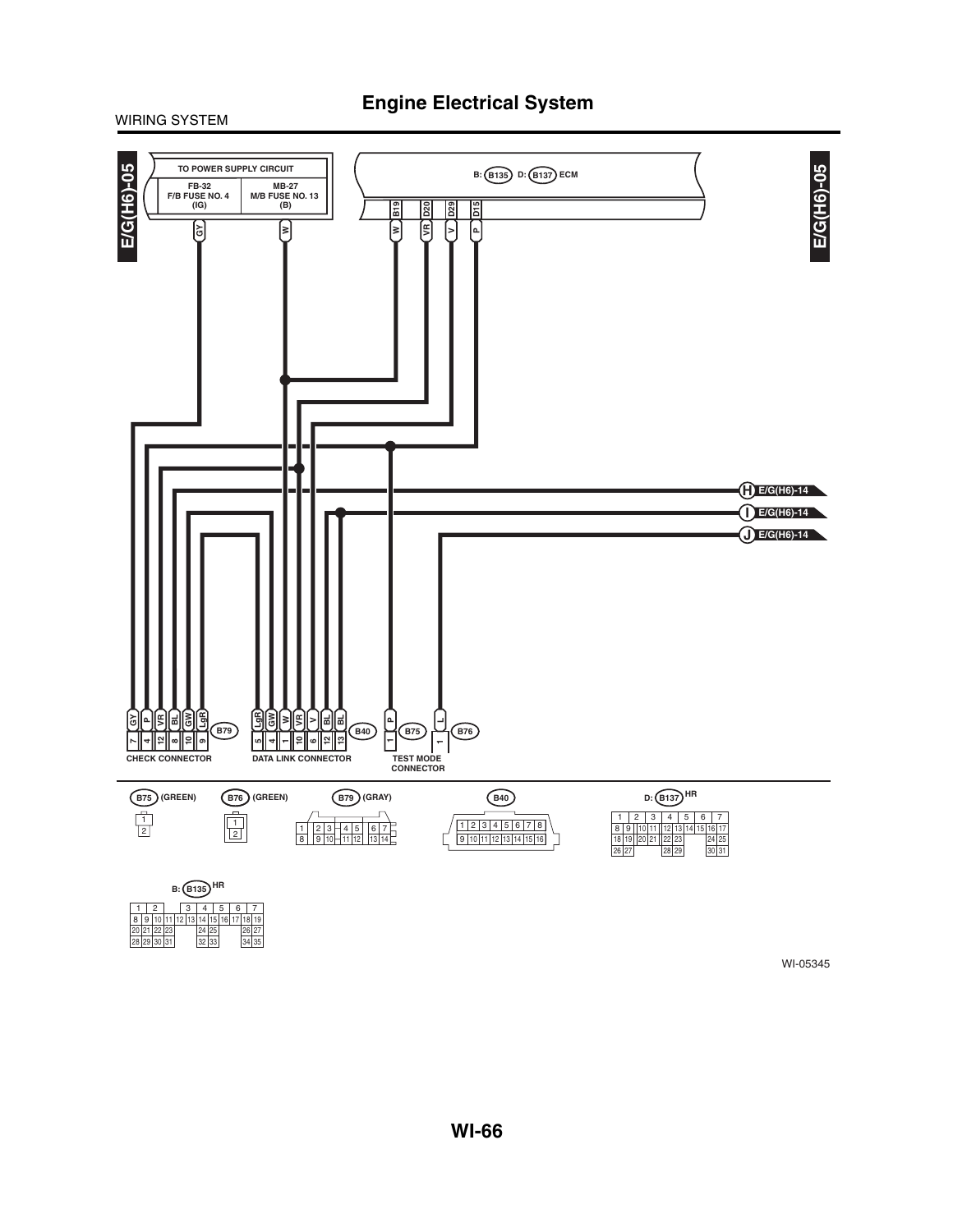![](_page_32_Figure_1.jpeg)

20|21|22|23|<br>28|29|30|31| 32  $1|12|13$ 24 25 8 | 9 | 10 | 11 | 12 | 13 | 14 | 15 | 16 | 17 | 18 | 19

25 26 27<br>33 34 35

![](_page_32_Figure_2.jpeg)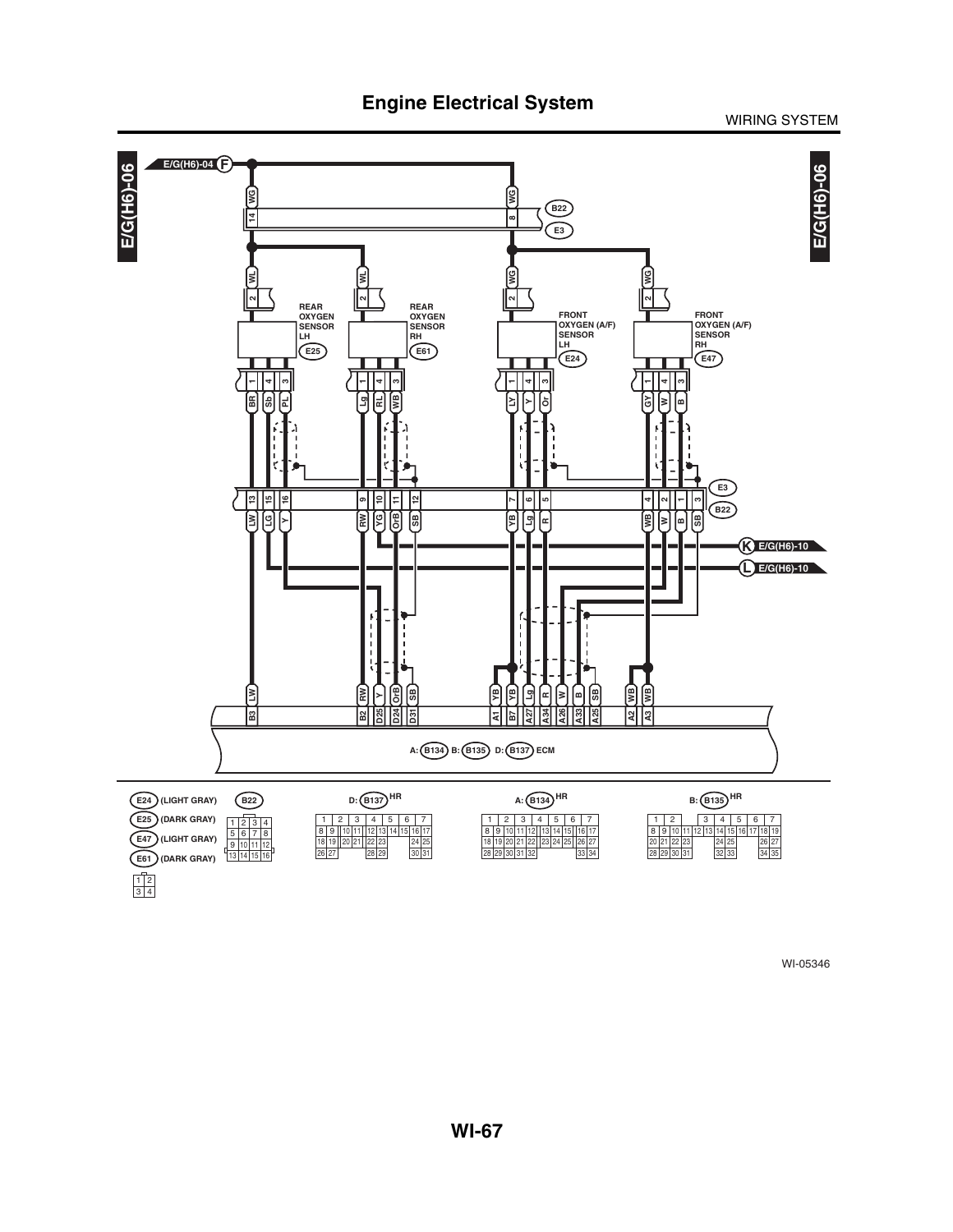![](_page_33_Figure_0.jpeg)

![](_page_33_Figure_2.jpeg)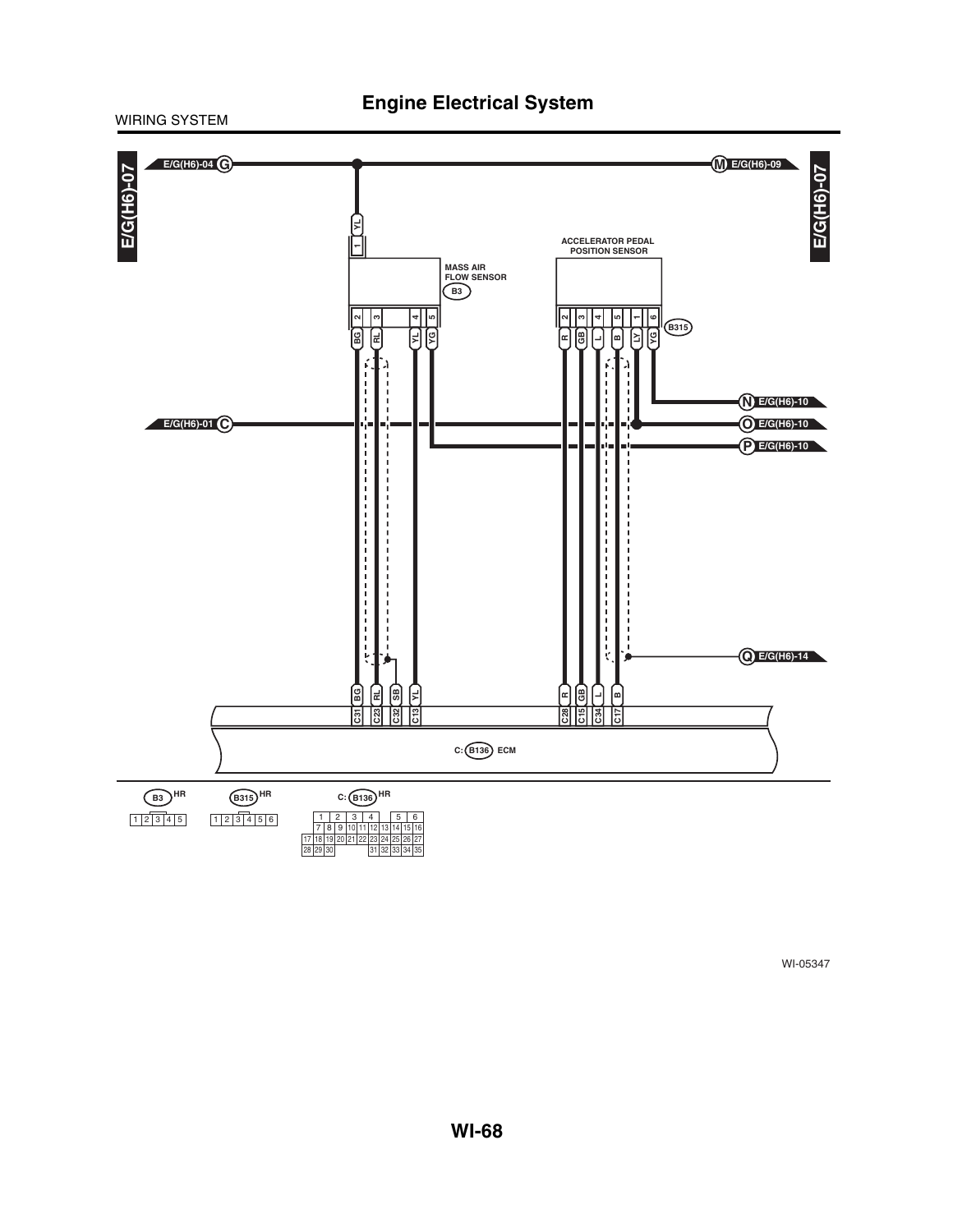### WIRING SYSTEM

![](_page_34_Figure_2.jpeg)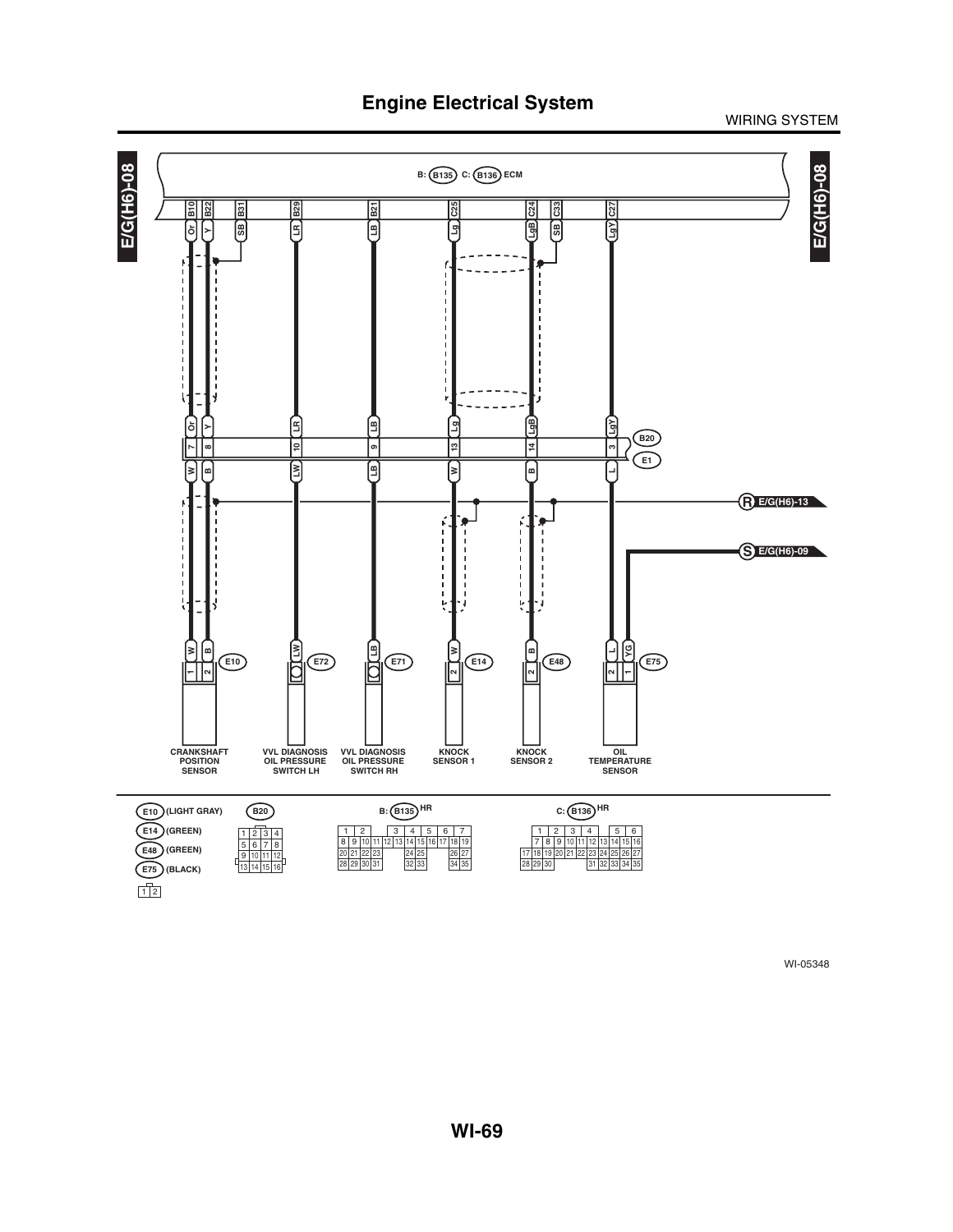![](_page_35_Figure_2.jpeg)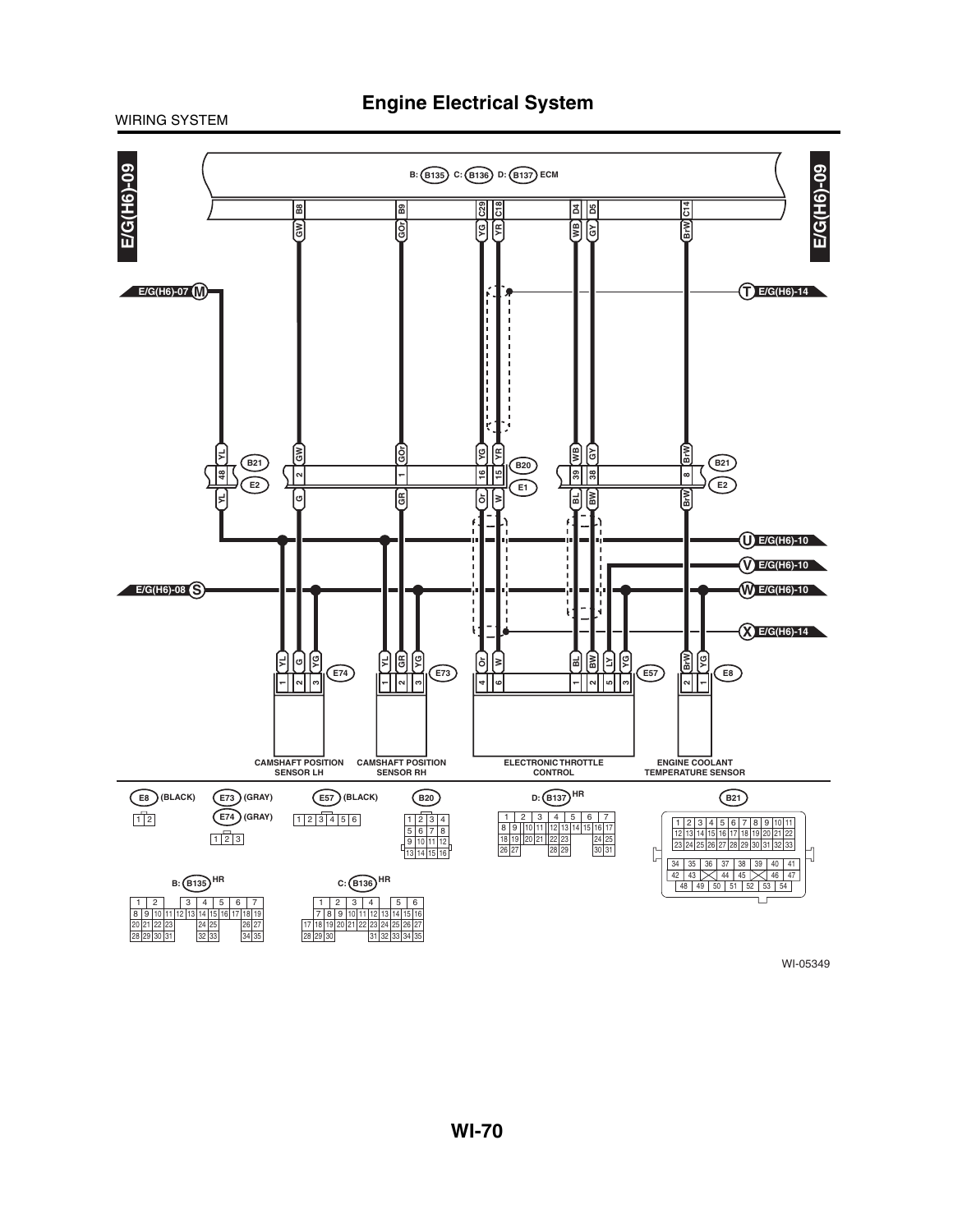WIRING SYSTEM

![](_page_36_Figure_2.jpeg)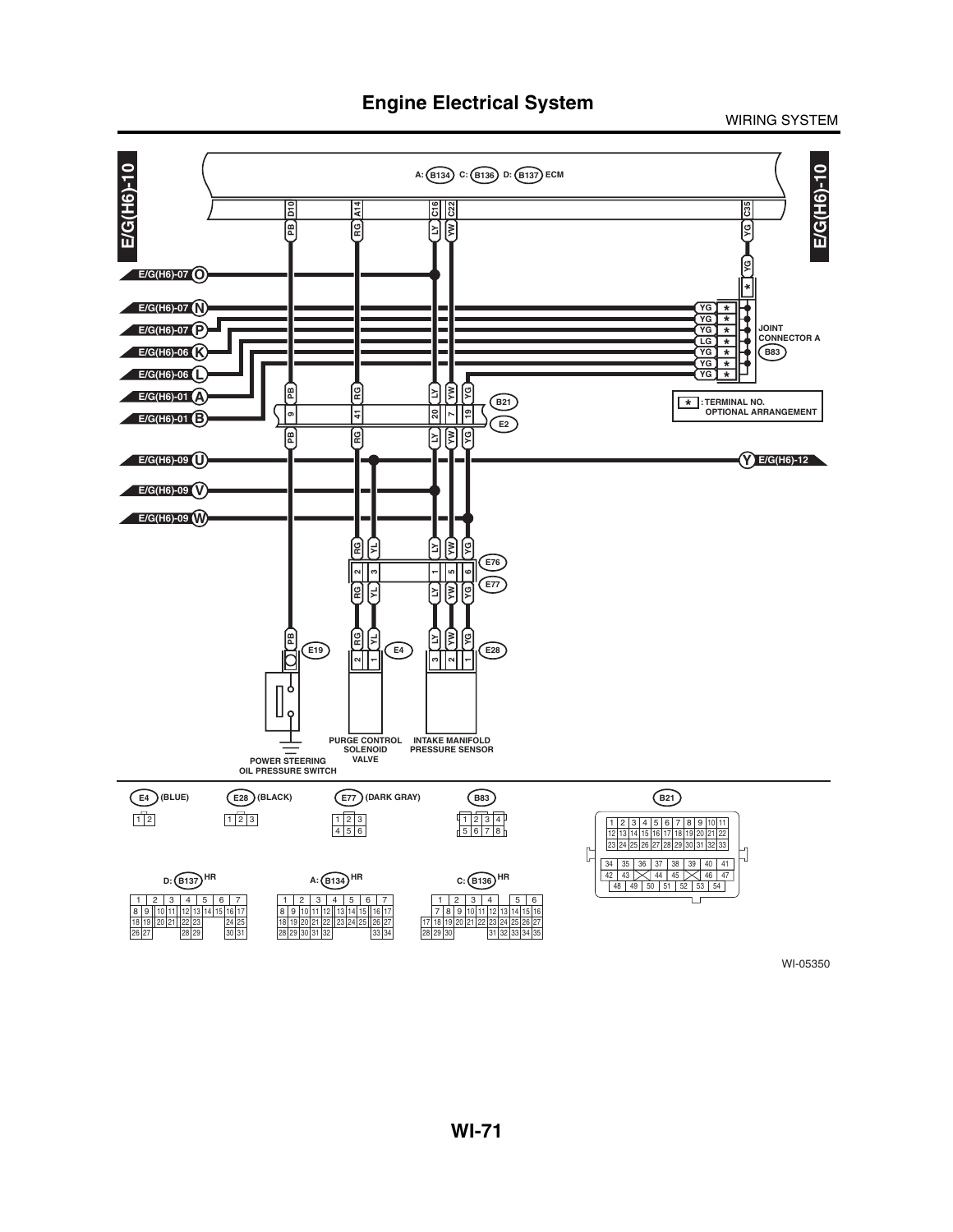**Engine Electrical System**

WIRING SYSTEM

![](_page_37_Figure_2.jpeg)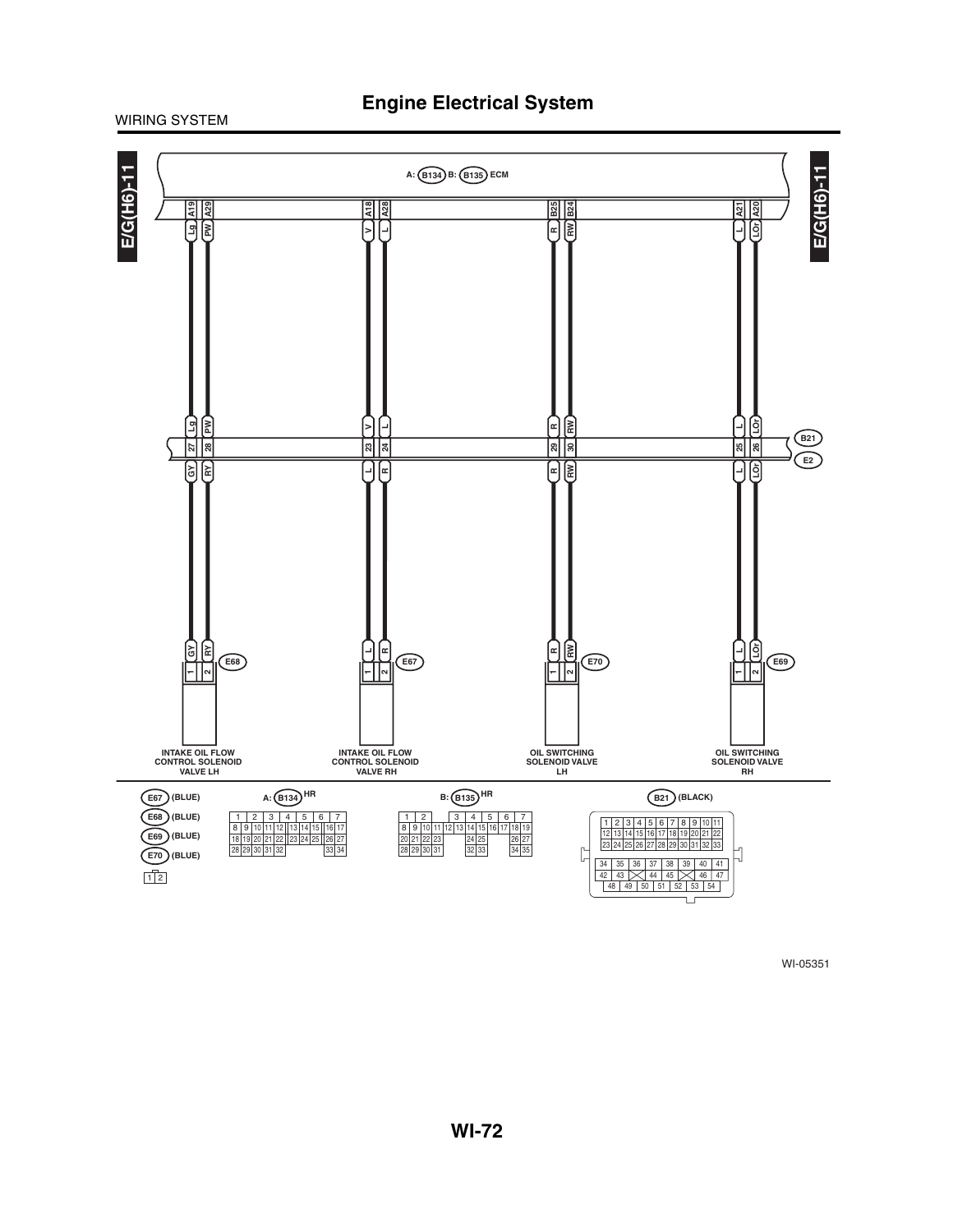WIRING SYSTEM

![](_page_38_Figure_2.jpeg)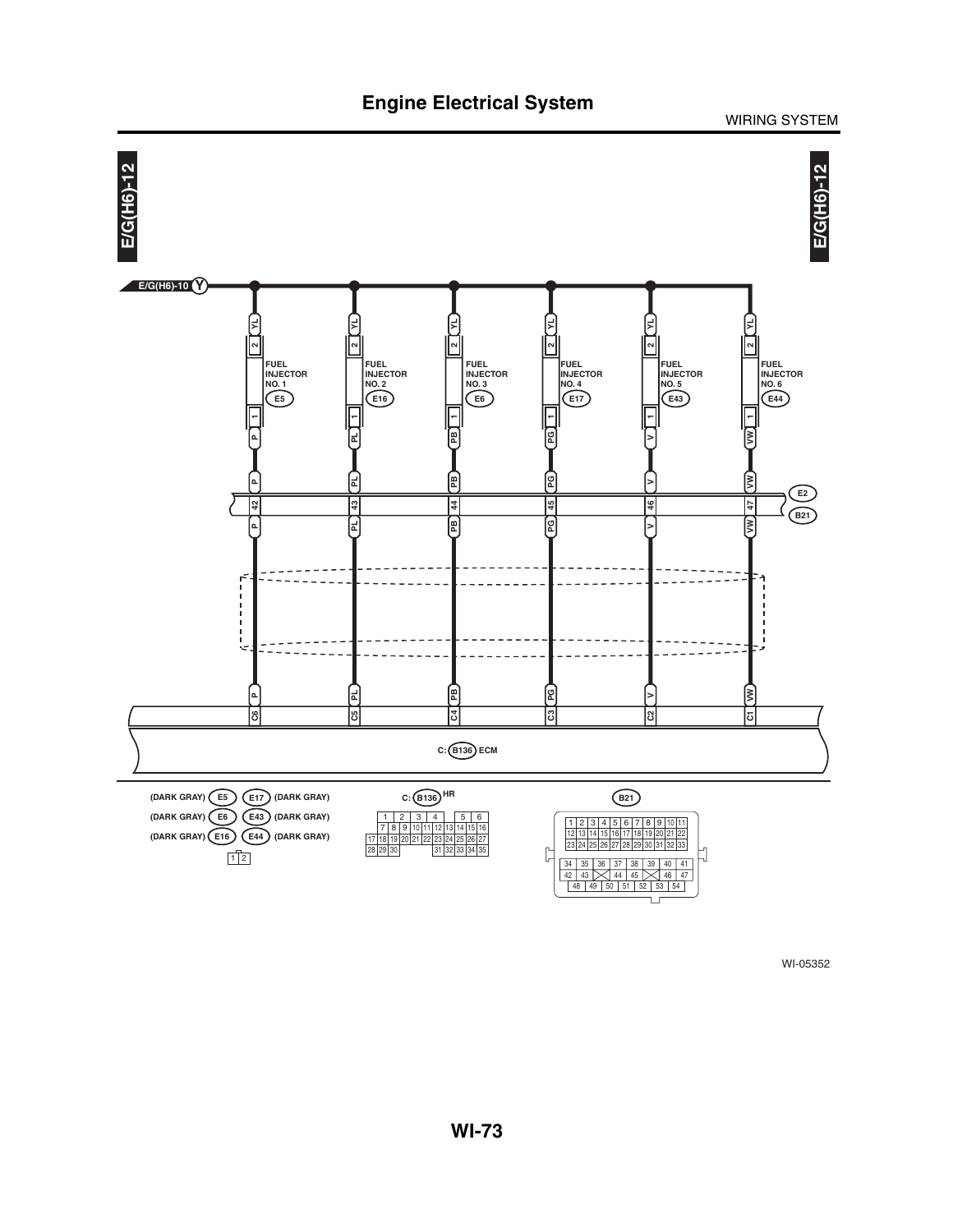![](_page_39_Figure_0.jpeg)

WIRING SYSTEM

![](_page_39_Figure_2.jpeg)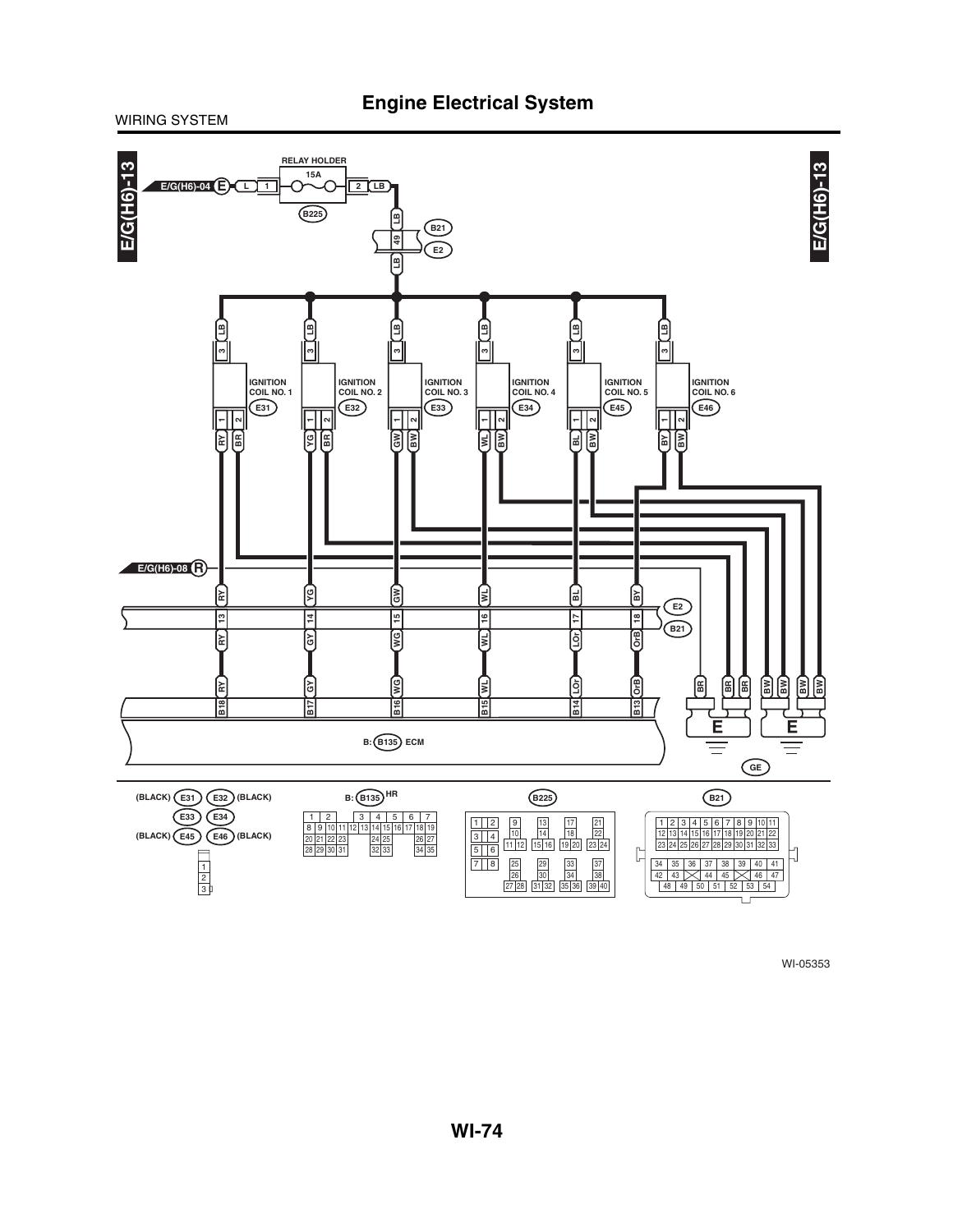![](_page_40_Figure_2.jpeg)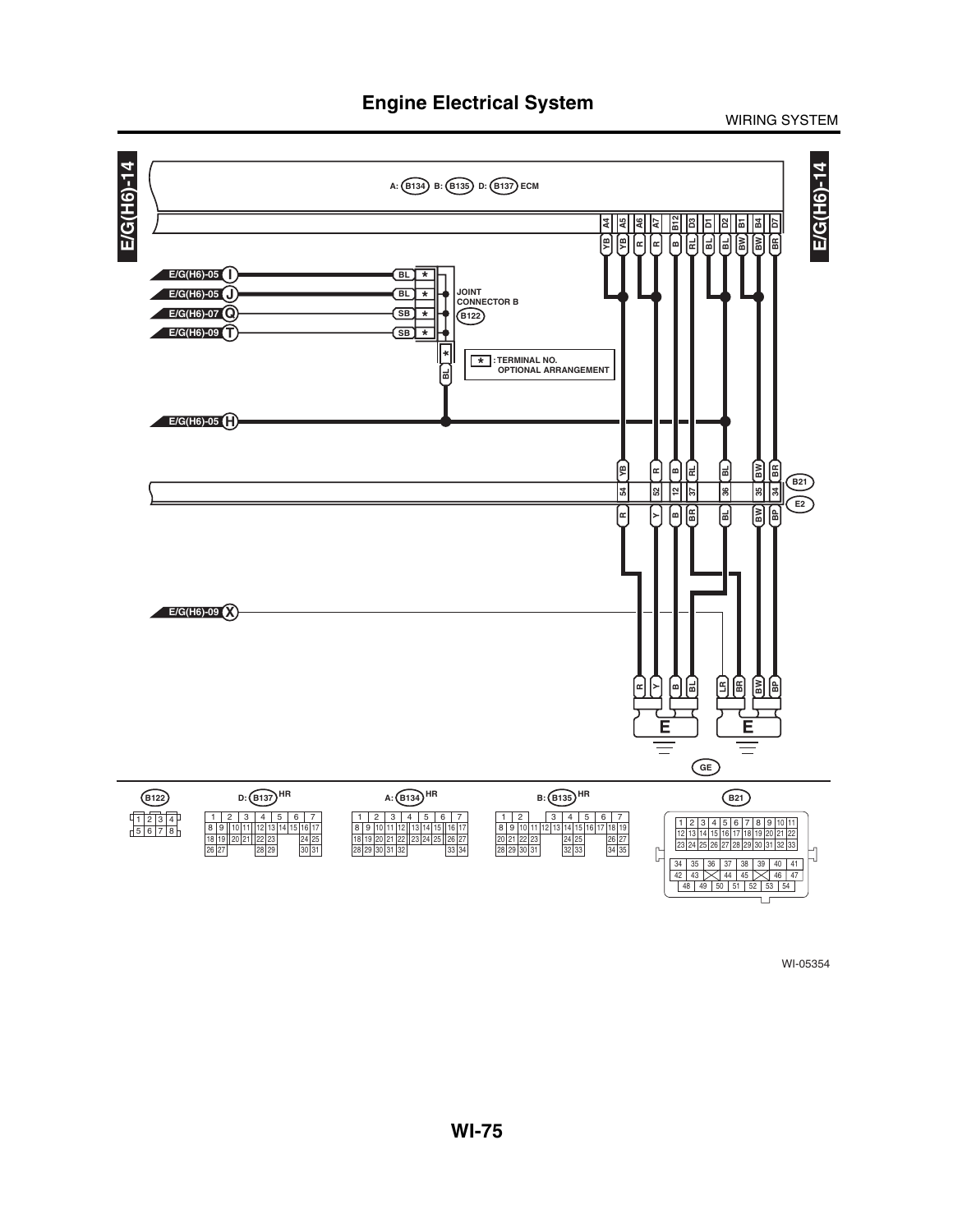WIRING SYSTEM

![](_page_41_Figure_2.jpeg)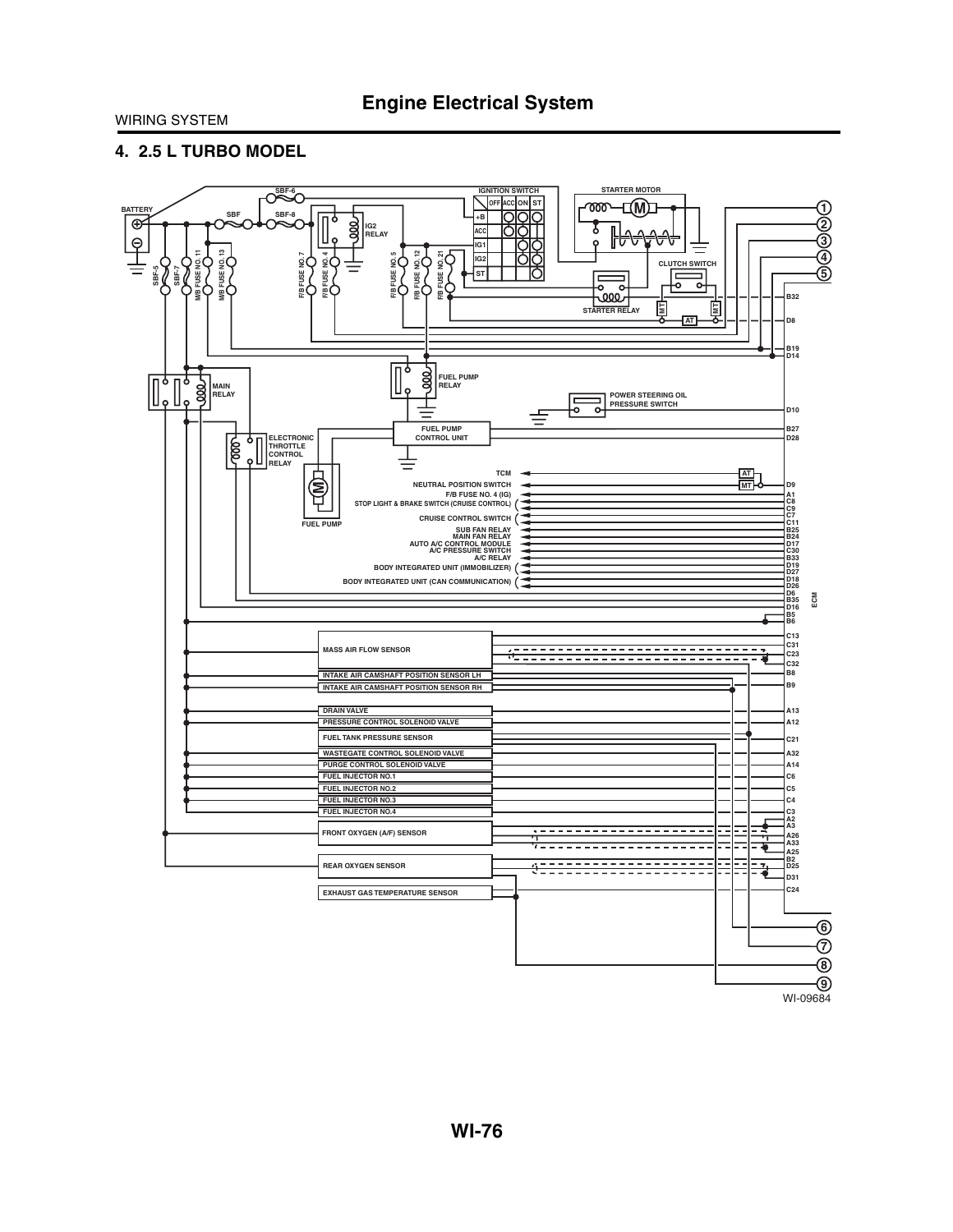### **4. 2.5 L TURBO MODEL**

![](_page_42_Figure_3.jpeg)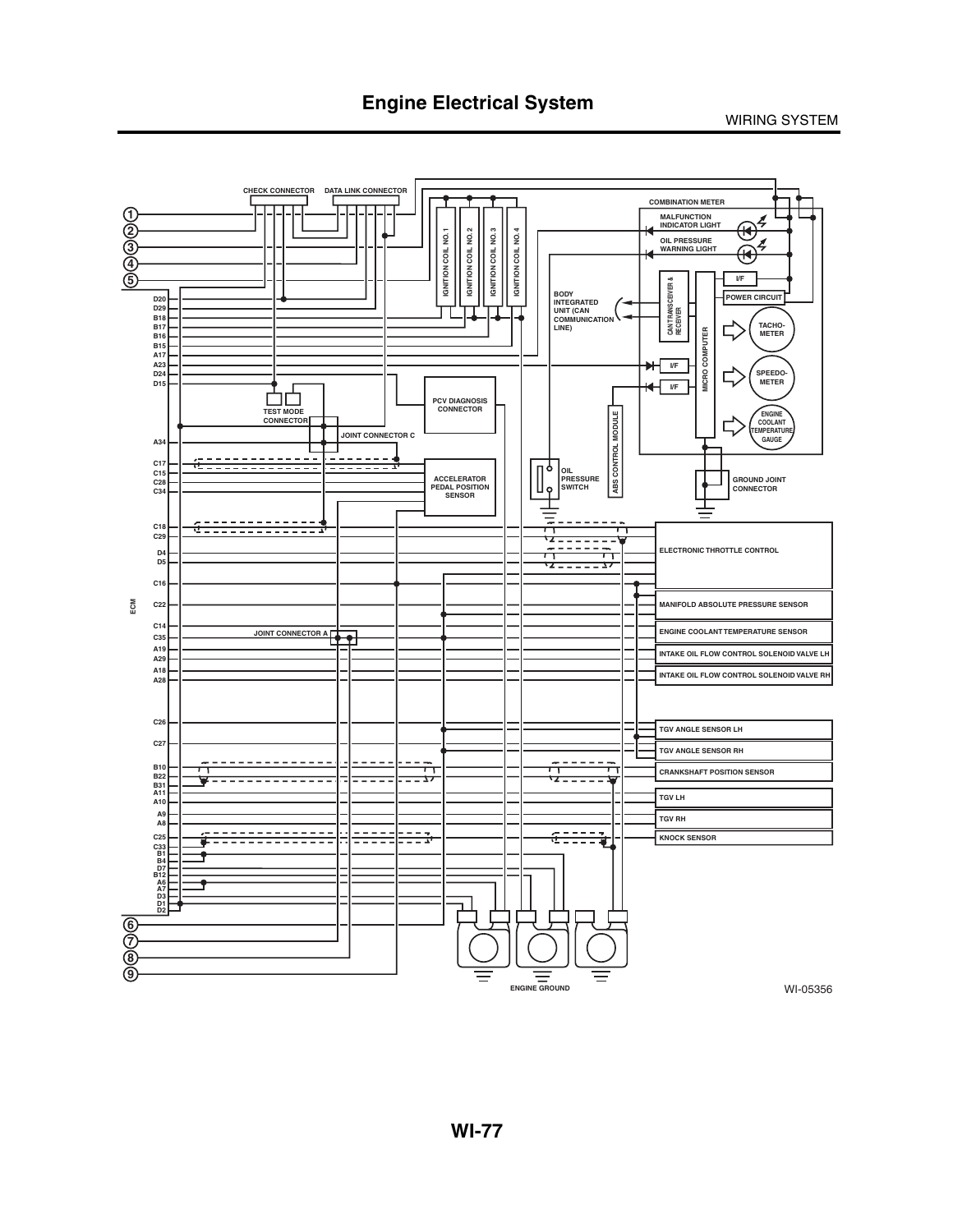![](_page_43_Figure_2.jpeg)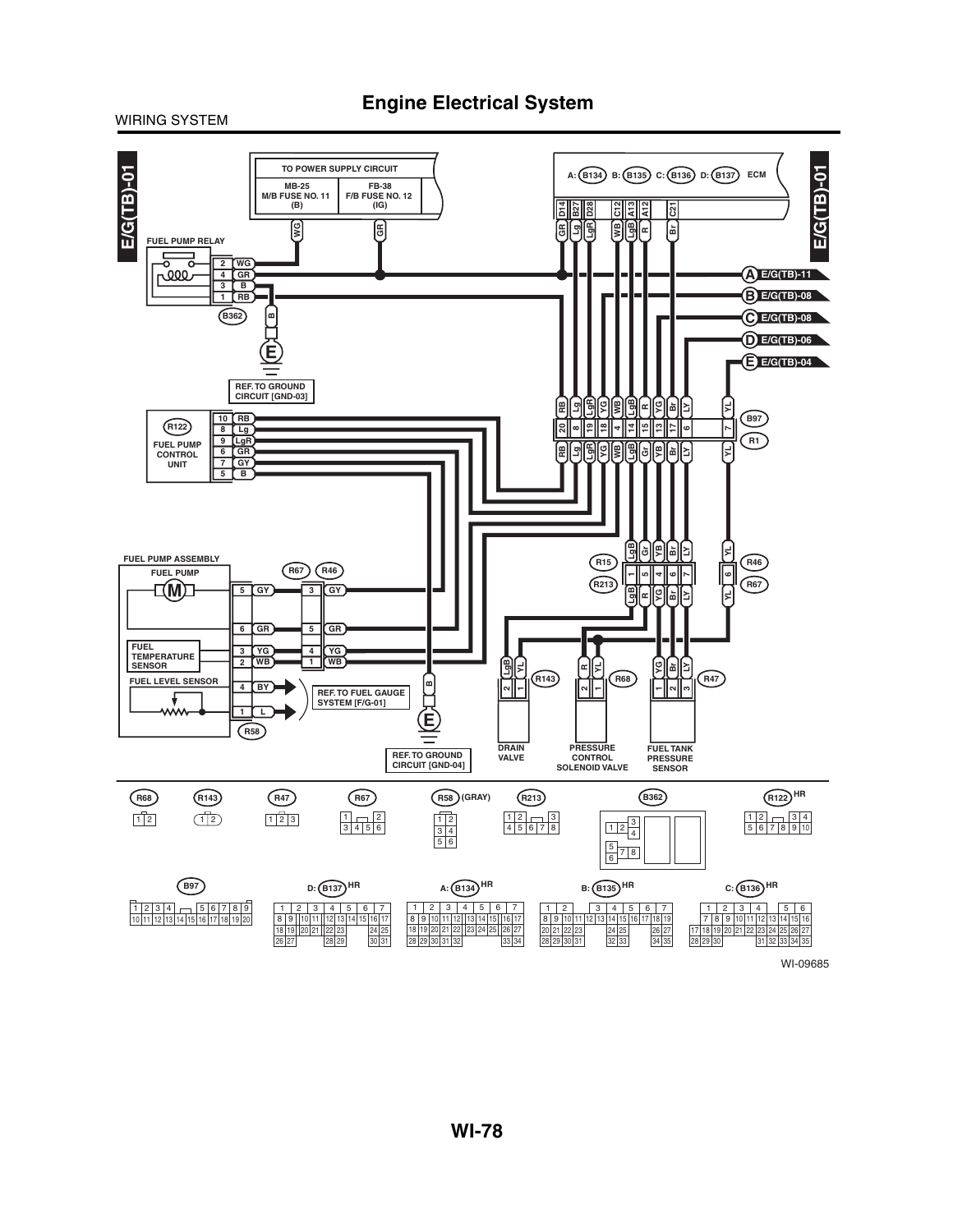**Engine Electrical System**

![](_page_44_Figure_2.jpeg)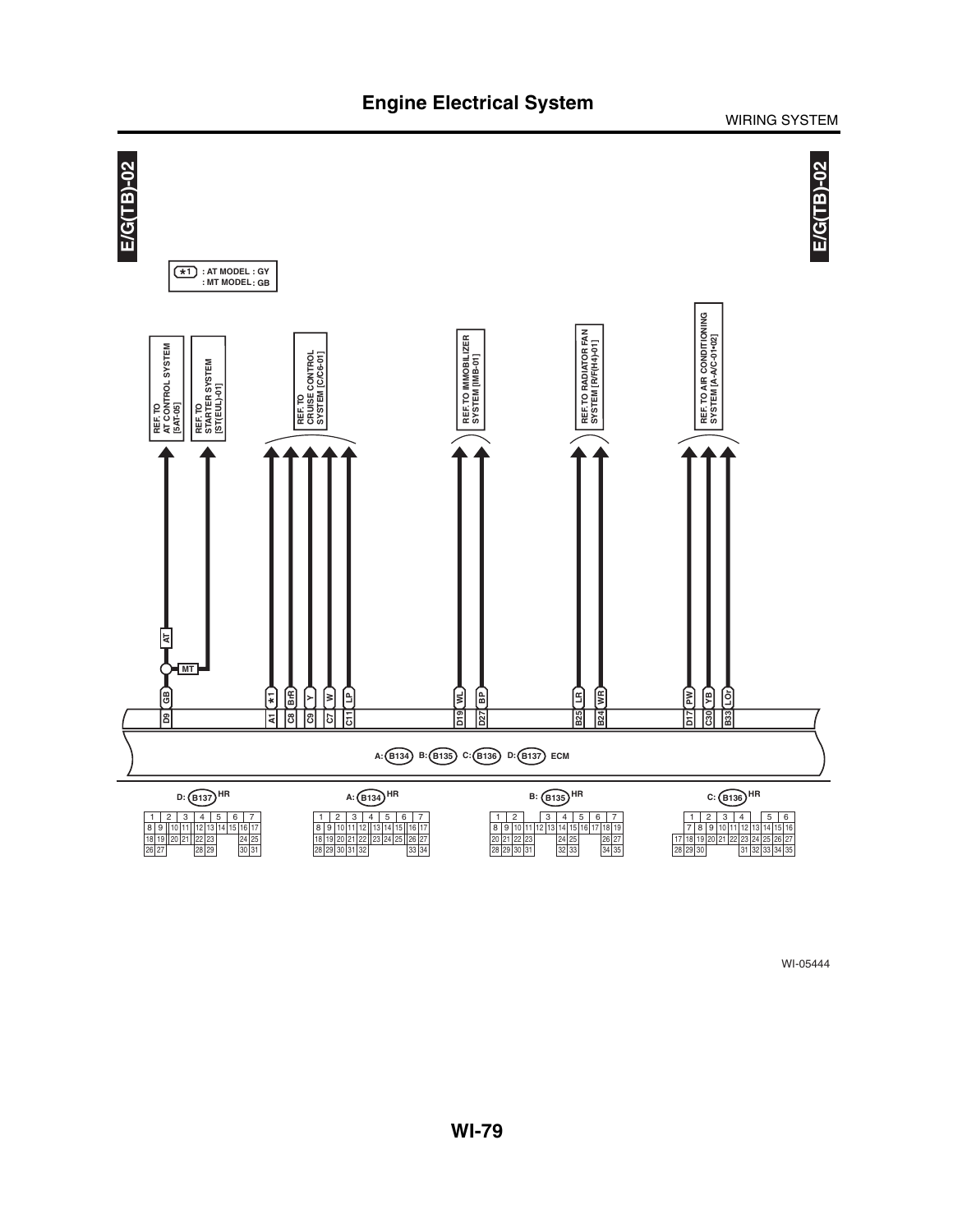![](_page_45_Figure_2.jpeg)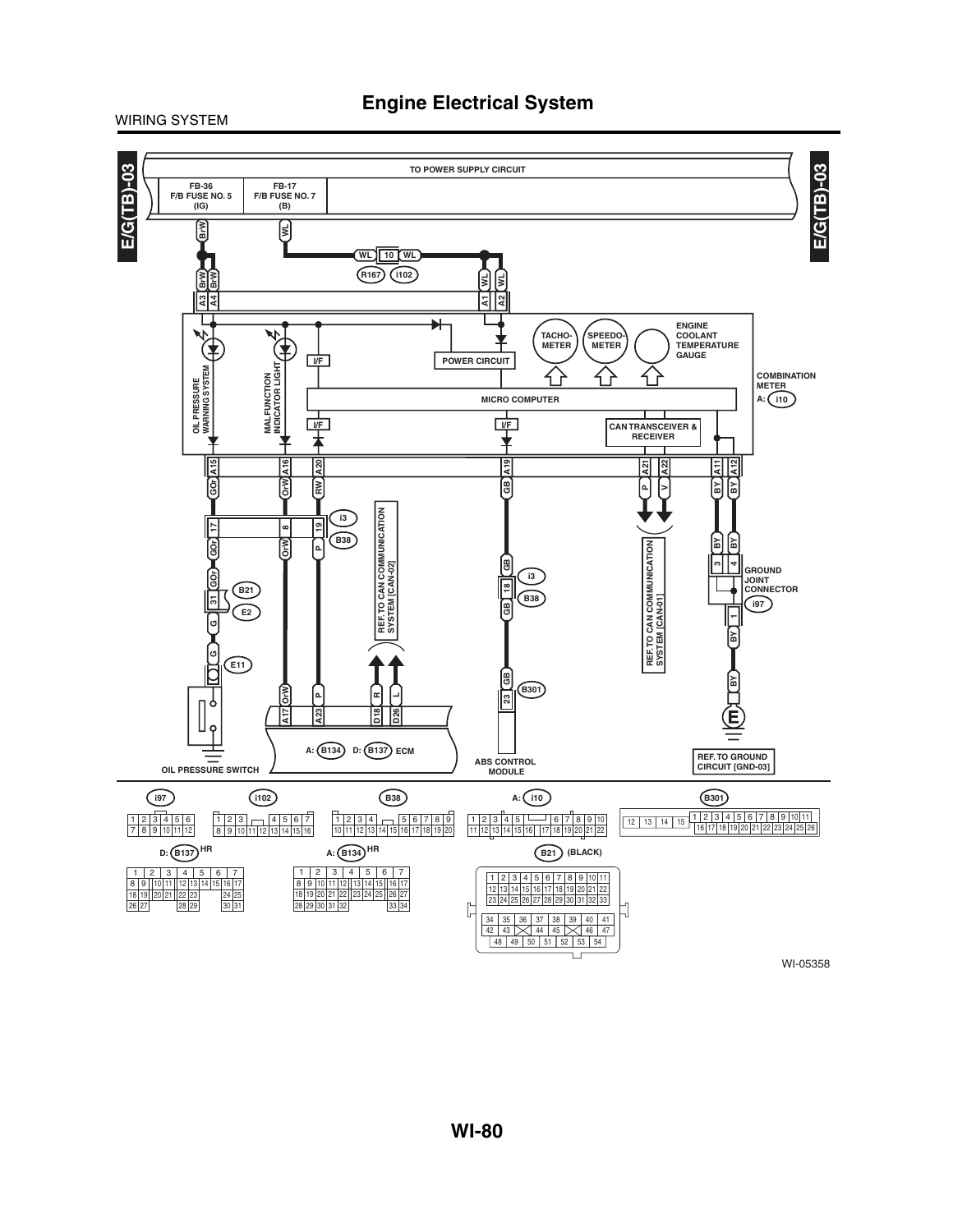![](_page_46_Figure_2.jpeg)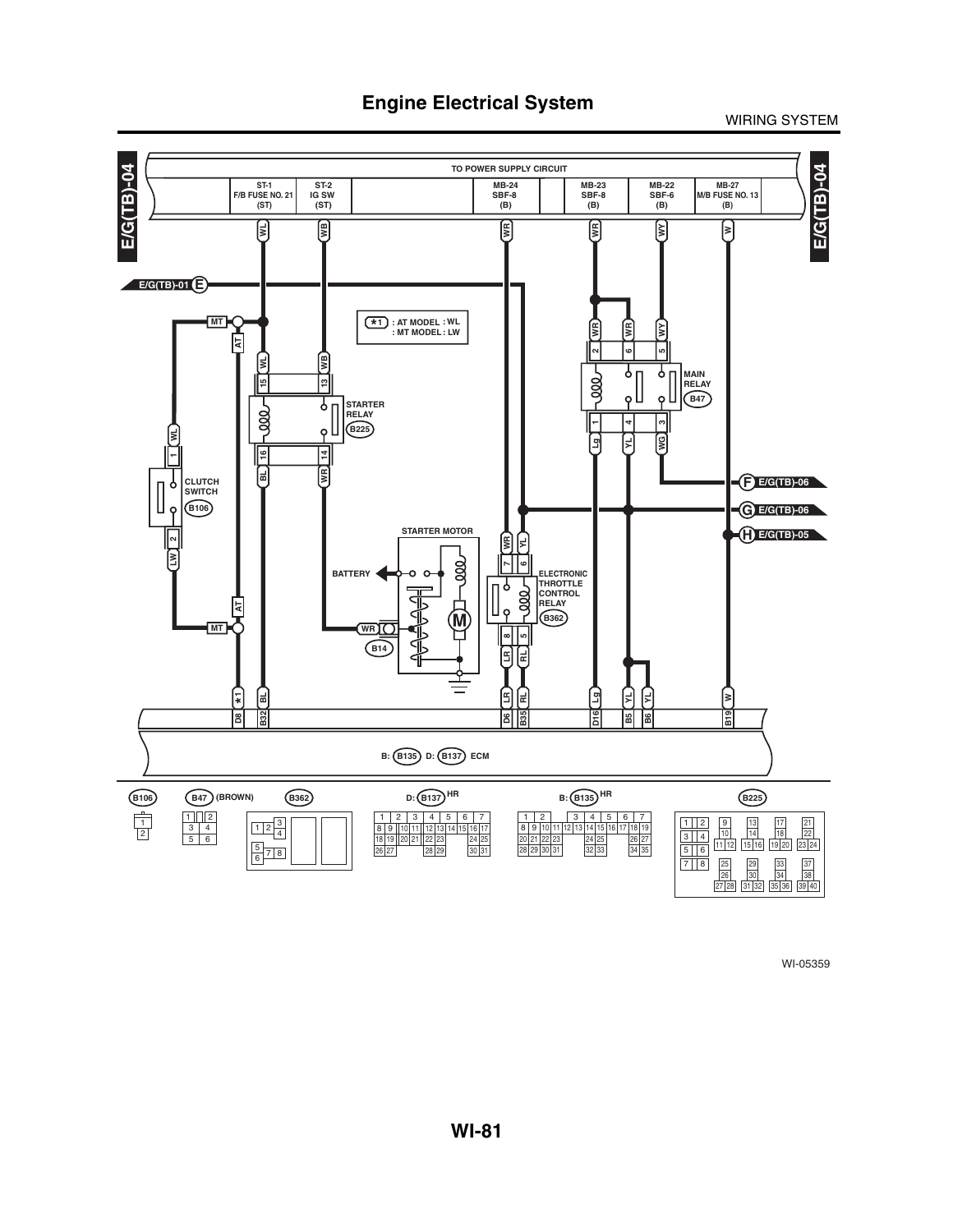![](_page_47_Figure_2.jpeg)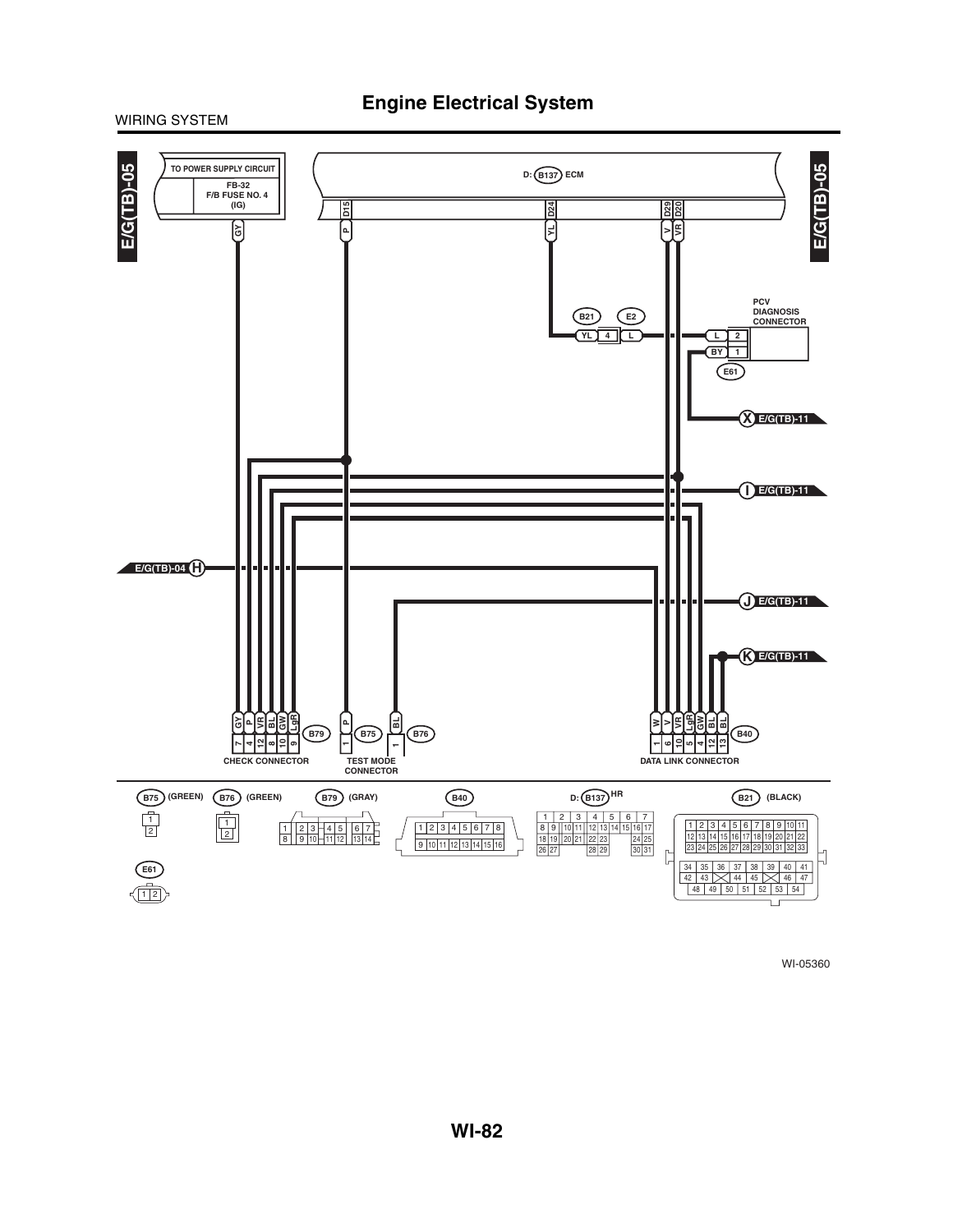![](_page_48_Figure_1.jpeg)

![](_page_48_Figure_2.jpeg)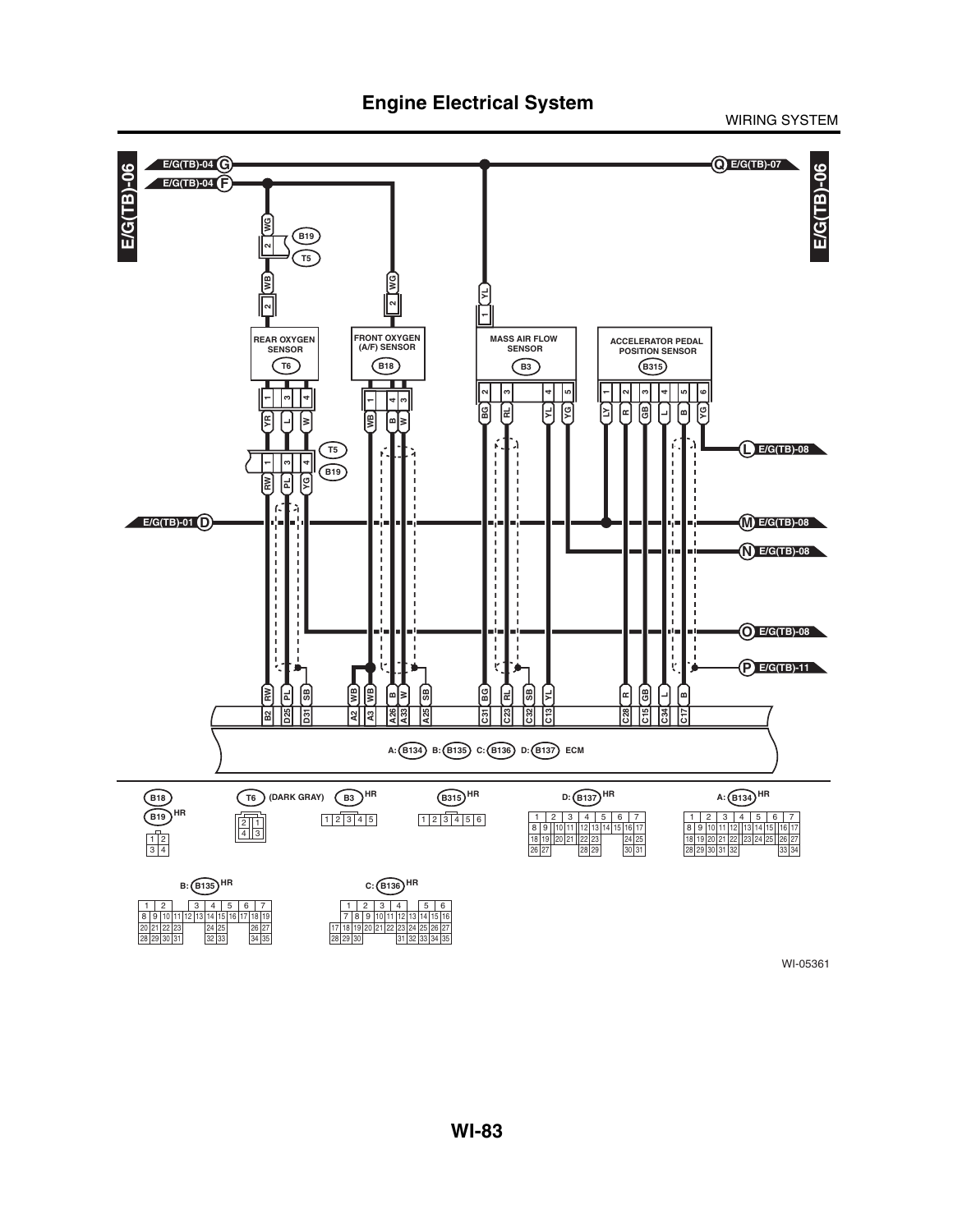![](_page_49_Figure_2.jpeg)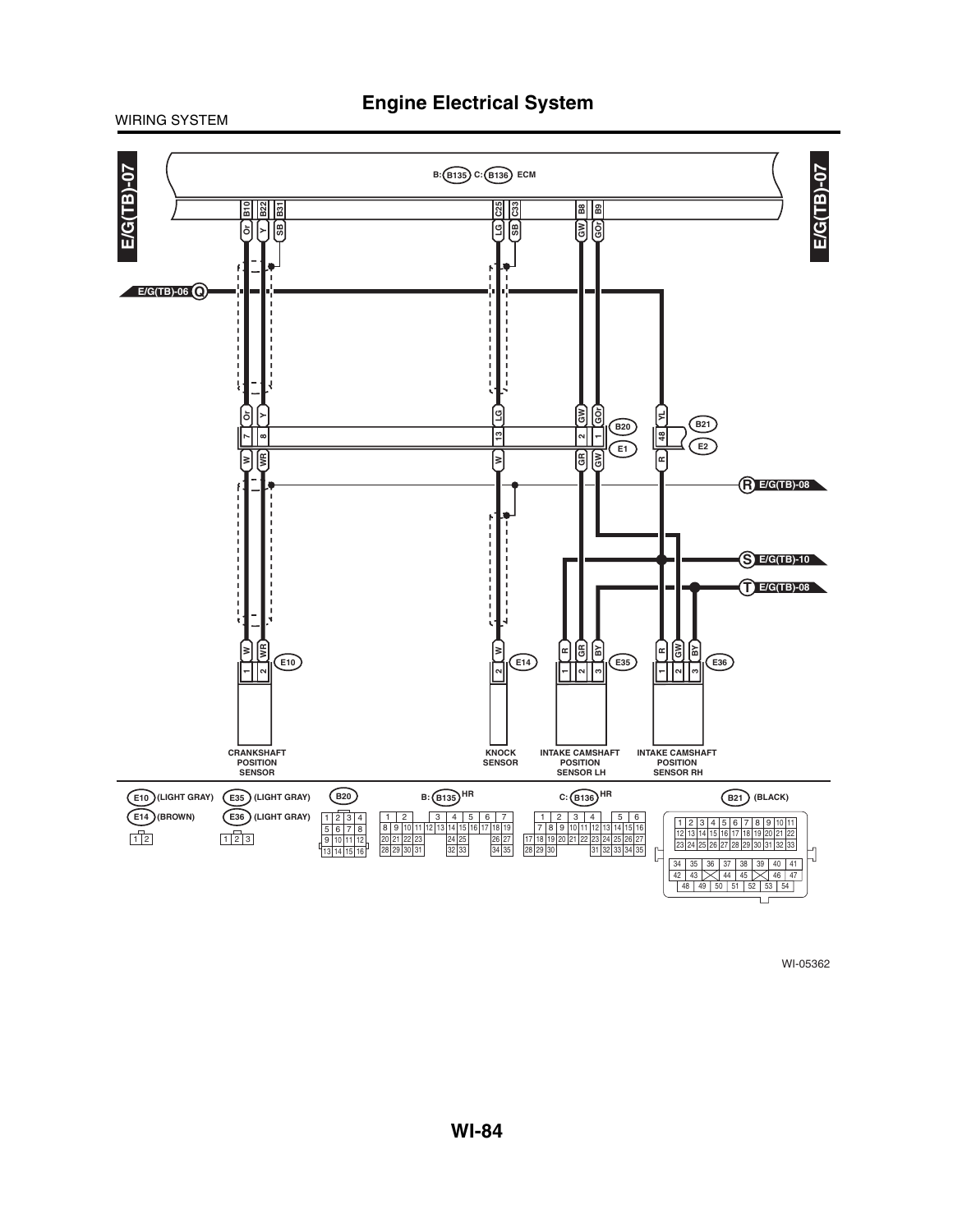![](_page_50_Figure_2.jpeg)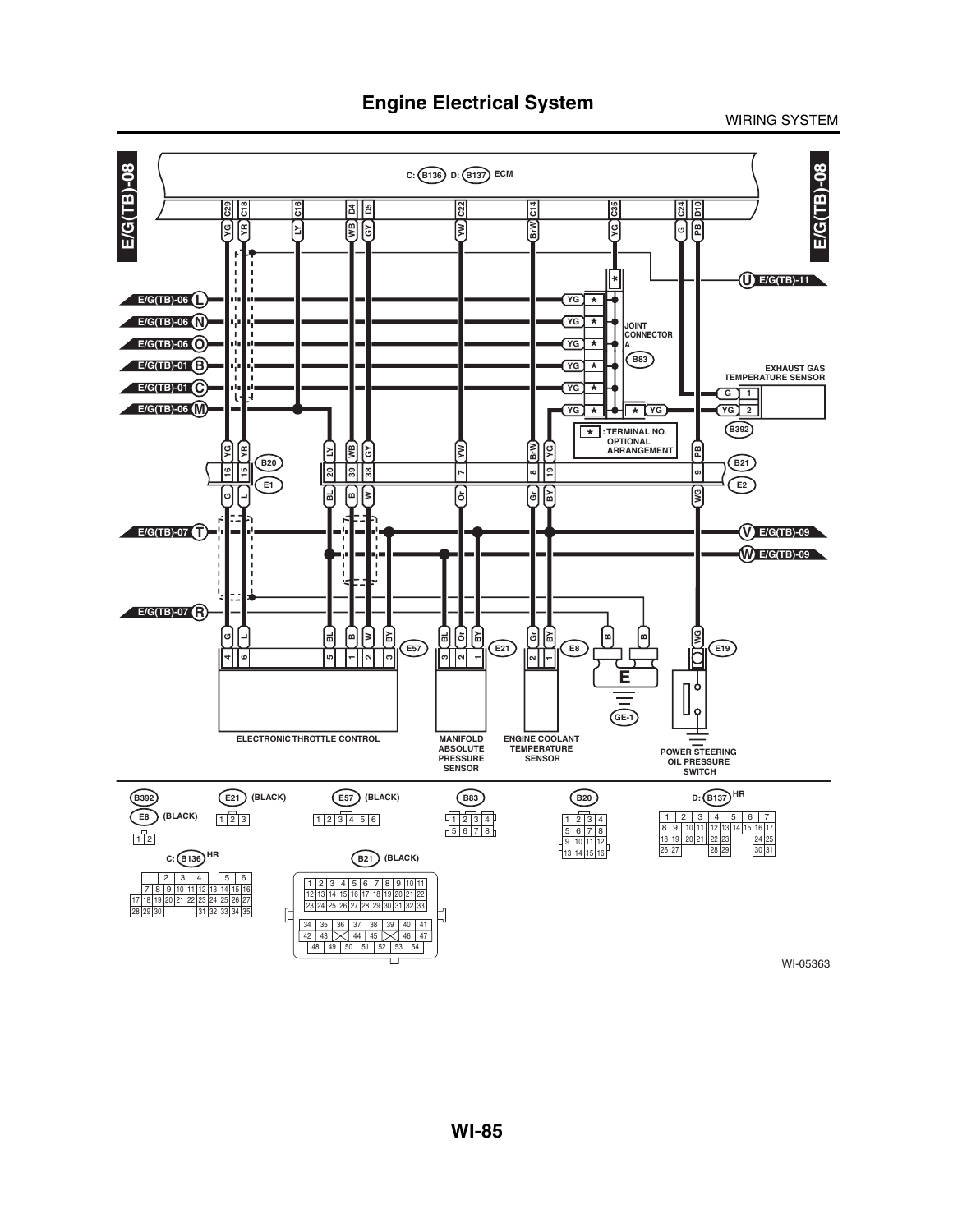WIRING SYSTEM

![](_page_51_Figure_2.jpeg)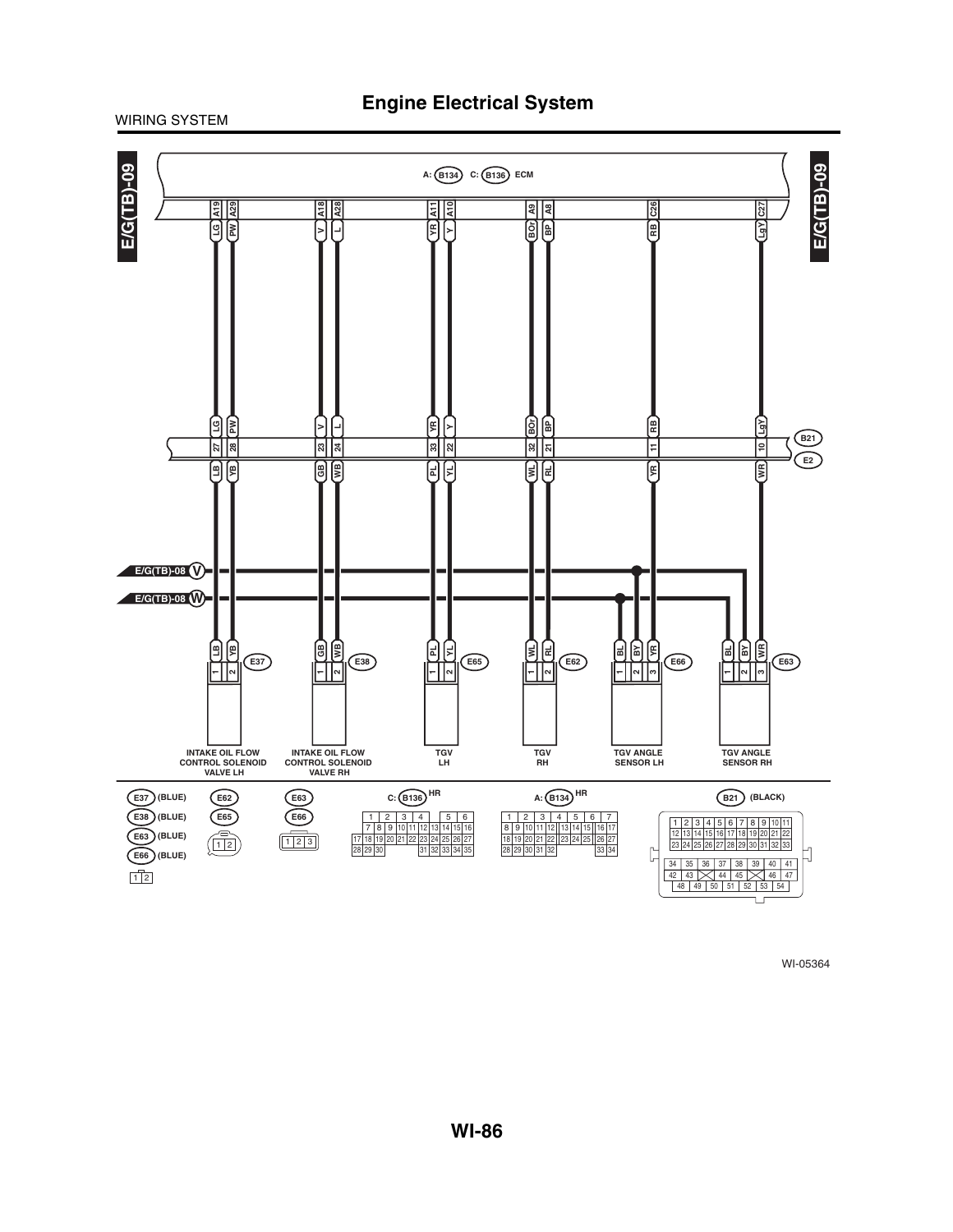![](_page_52_Figure_1.jpeg)

![](_page_52_Figure_2.jpeg)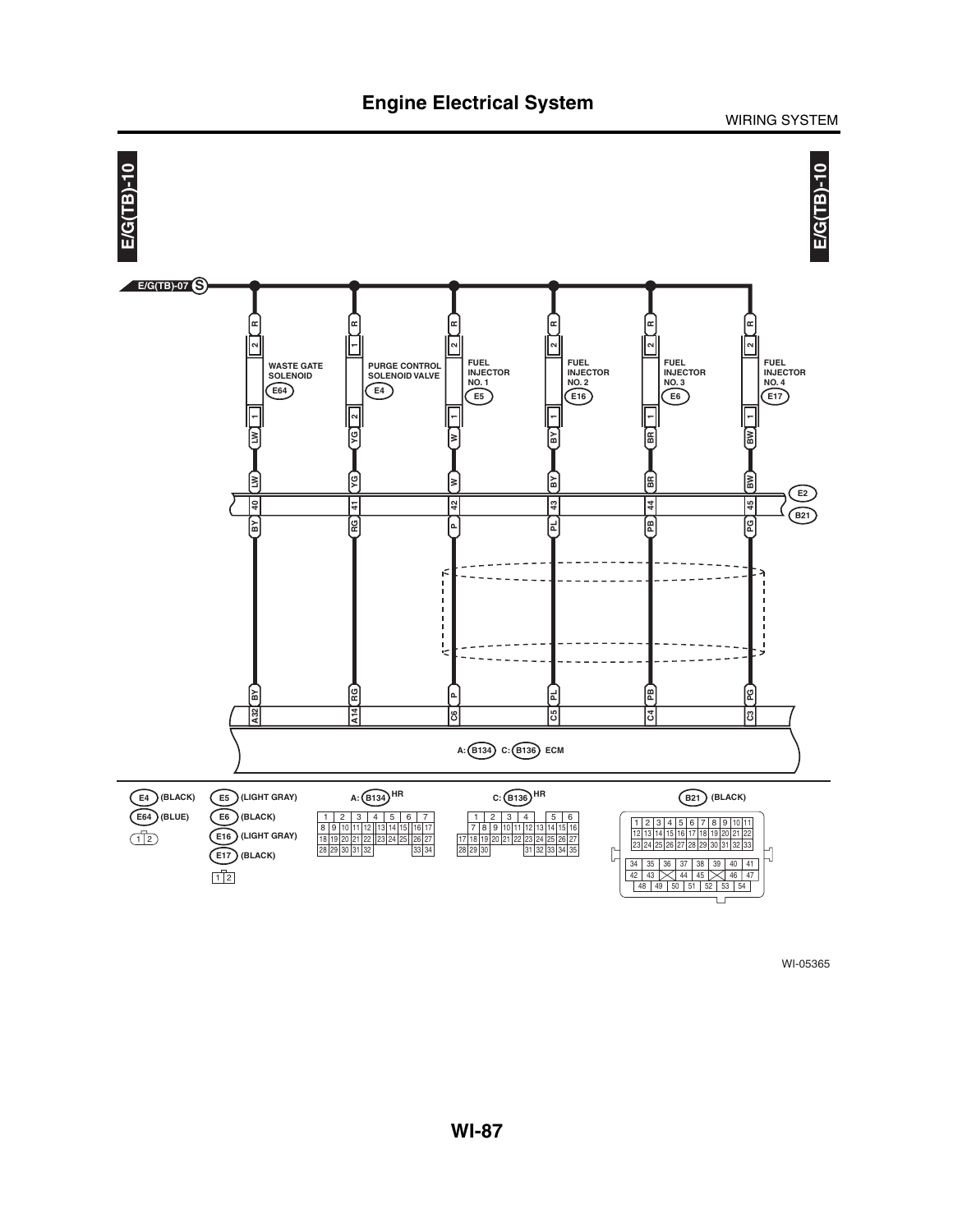![](_page_53_Figure_0.jpeg)

WIRING SYSTEM